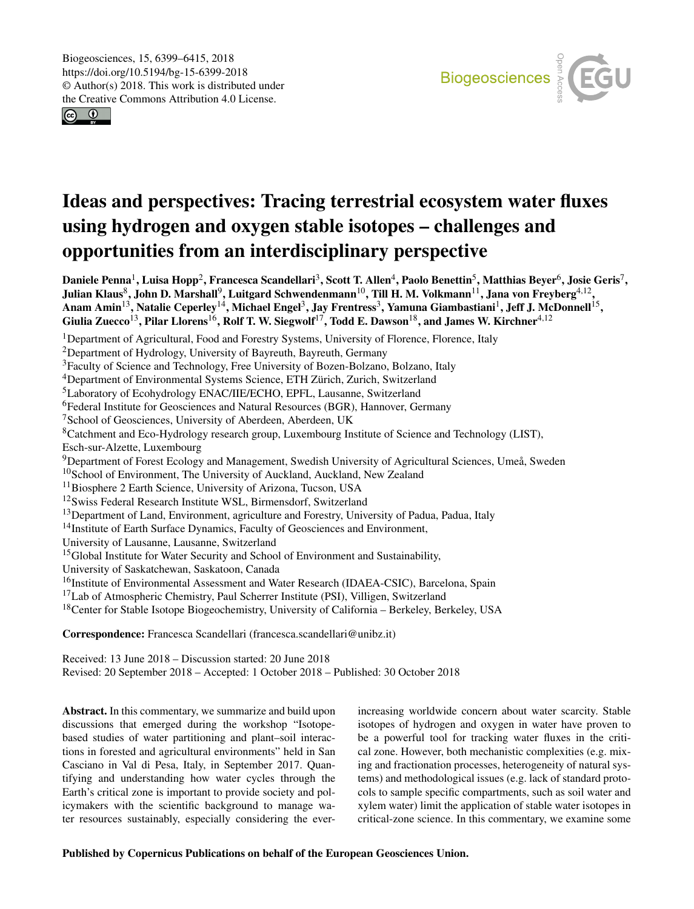<span id="page-0-1"></span> $\circ$   $\circ$ 



# Ideas and perspectives: Tracing terrestrial ecosystem water fluxes using hydrogen and oxygen stable isotopes – challenges and opportunities from an interdisciplinary perspective

Daniele Penna<sup>[1](#page-0-0)</sup>, Luisa Hopp<sup>[2](#page-0-0)</sup>, Francesca Scandellari<sup>[3](#page-0-0)</sup>, Scott T. Allen<sup>[4](#page-0-0)</sup>, Paolo Benettin<sup>[5](#page-0-0)</sup>, Matthias Beyer<sup>[6](#page-0-0)</sup>, Josie Geris<sup>[7](#page-0-0)</sup>, Julian Klaus $^8$  $^8$ , John D. Marshall $^9$  $^9$ , Luitgard Schwendenmann $^{10}$  $^{10}$  $^{10}$ , Till H. M. Volkmann $^{11}$  $^{11}$  $^{11}$ , Jana von Freyberg $^{4,12},$  $^{4,12},$  $^{4,12},$ Anam Amin $^{13}$  $^{13}$  $^{13}$ , Natalie Ceperley $^{14}$  $^{14}$  $^{14}$ , Michael Engel $^3$  $^3$ , Jay Frentress $^3$ , Yamuna Giambastiani $^1$  $^1$ , Jeff J. McDonnell $^{15}$  $^{15}$  $^{15}$ , Giulia Zuecco<sup>[13](#page-0-0)</sup>, Pilar Llorens<sup>[16](#page-0-0)</sup>, Rolf T. W. Siegwolf<sup>[17](#page-0-0)</sup>, Todd E. Dawson<sup>[18](#page-0-0)</sup>, and James W. Kirchner<sup>[4,12](#page-0-0)</sup>

<sup>1</sup>Department of Agricultural, Food and Forestry Systems, University of Florence, Florence, Italy

<sup>4</sup>Department of Environmental Systems Science, ETH Zürich, Zurich, Switzerland

<sup>5</sup>Laboratory of Ecohydrology ENAC/IIE/ECHO, EPFL, Lausanne, Switzerland

<sup>6</sup>Federal Institute for Geosciences and Natural Resources (BGR), Hannover, Germany

<sup>7</sup>School of Geosciences, University of Aberdeen, Aberdeen, UK

<sup>8</sup>Catchment and Eco-Hydrology research group, Luxembourg Institute of Science and Technology (LIST),

Esch-sur-Alzette, Luxembourg

<sup>9</sup>Department of Forest Ecology and Management, Swedish University of Agricultural Sciences, Umeå, Sweden

<sup>10</sup>School of Environment, The University of Auckland, Auckland, New Zealand

<sup>11</sup>Biosphere 2 Earth Science, University of Arizona, Tucson, USA

<sup>12</sup>Swiss Federal Research Institute WSL, Birmensdorf, Switzerland

<sup>13</sup>Department of Land, Environment, agriculture and Forestry, University of Padua, Padua, Italy

<sup>14</sup>Institute of Earth Surface Dynamics, Faculty of Geosciences and Environment,

University of Lausanne, Lausanne, Switzerland

<sup>15</sup>Global Institute for Water Security and School of Environment and Sustainability,

University of Saskatchewan, Saskatoon, Canada

<sup>16</sup>Institute of Environmental Assessment and Water Research (IDAEA-CSIC), Barcelona, Spain

<sup>17</sup>Lab of Atmospheric Chemistry, Paul Scherrer Institute (PSI), Villigen, Switzerland

 $18$ Center for Stable Isotope Biogeochemistry, University of California – Berkeley, Berkeley, USA

Correspondence: Francesca Scandellari (francesca.scandellari@unibz.it)

Received: 13 June 2018 – Discussion started: 20 June 2018 Revised: 20 September 2018 – Accepted: 1 October 2018 – Published: 30 October 2018

<span id="page-0-0"></span>Abstract. In this commentary, we summarize and build upon discussions that emerged during the workshop "Isotopebased studies of water partitioning and plant–soil interactions in forested and agricultural environments" held in San Casciano in Val di Pesa, Italy, in September 2017. Quantifying and understanding how water cycles through the Earth's critical zone is important to provide society and policymakers with the scientific background to manage water resources sustainably, especially considering the everincreasing worldwide concern about water scarcity. Stable isotopes of hydrogen and oxygen in water have proven to be a powerful tool for tracking water fluxes in the critical zone. However, both mechanistic complexities (e.g. mixing and fractionation processes, heterogeneity of natural systems) and methodological issues (e.g. lack of standard protocols to sample specific compartments, such as soil water and xylem water) limit the application of stable water isotopes in critical-zone science. In this commentary, we examine some

<sup>2</sup>Department of Hydrology, University of Bayreuth, Bayreuth, Germany

<sup>3</sup>Faculty of Science and Technology, Free University of Bozen-Bolzano, Bolzano, Italy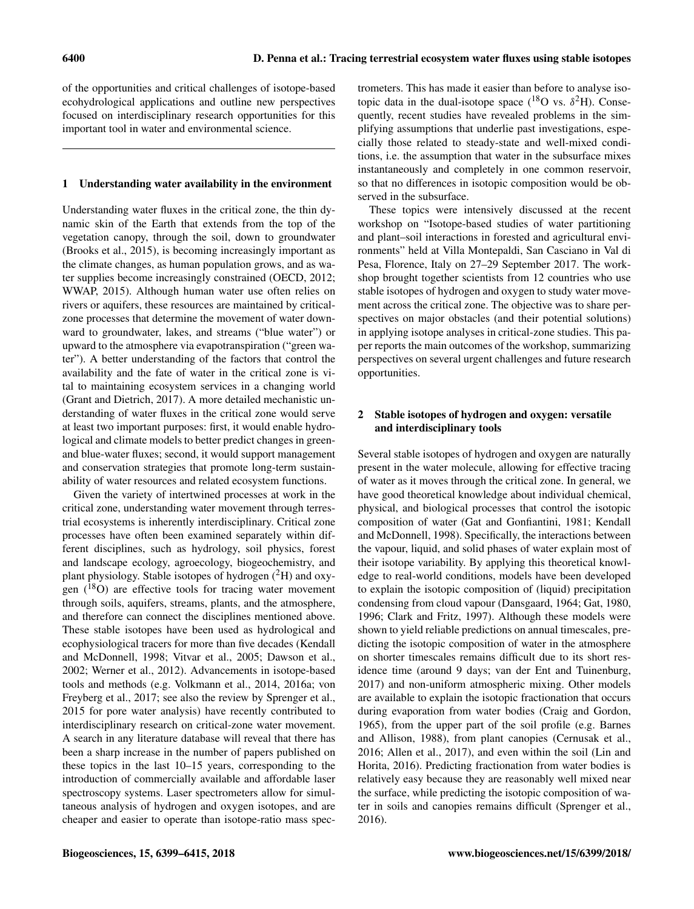of the opportunities and critical challenges of isotope-based ecohydrological applications and outline new perspectives focused on interdisciplinary research opportunities for this important tool in water and environmental science.

## 1 Understanding water availability in the environment

Understanding water fluxes in the critical zone, the thin dynamic skin of the Earth that extends from the top of the vegetation canopy, through the soil, down to groundwater (Brooks et al., 2015), is becoming increasingly important as the climate changes, as human population grows, and as water supplies become increasingly constrained (OECD, 2012; WWAP, 2015). Although human water use often relies on rivers or aquifers, these resources are maintained by criticalzone processes that determine the movement of water downward to groundwater, lakes, and streams ("blue water") or upward to the atmosphere via evapotranspiration ("green water"). A better understanding of the factors that control the availability and the fate of water in the critical zone is vital to maintaining ecosystem services in a changing world (Grant and Dietrich, 2017). A more detailed mechanistic understanding of water fluxes in the critical zone would serve at least two important purposes: first, it would enable hydrological and climate models to better predict changes in greenand blue-water fluxes; second, it would support management and conservation strategies that promote long-term sustainability of water resources and related ecosystem functions.

Given the variety of intertwined processes at work in the critical zone, understanding water movement through terrestrial ecosystems is inherently interdisciplinary. Critical zone processes have often been examined separately within different disciplines, such as hydrology, soil physics, forest and landscape ecology, agroecology, biogeochemistry, and plant physiology. Stable isotopes of hydrogen  $({}^{2}H)$  and oxygen  $(^{18}O)$  are effective tools for tracing water movement through soils, aquifers, streams, plants, and the atmosphere, and therefore can connect the disciplines mentioned above. These stable isotopes have been used as hydrological and ecophysiological tracers for more than five decades (Kendall and McDonnell, 1998; Vitvar et al., 2005; Dawson et al., 2002; Werner et al., 2012). Advancements in isotope-based tools and methods (e.g. Volkmann et al., 2014, 2016a; von Freyberg et al., 2017; see also the review by Sprenger et al., 2015 for pore water analysis) have recently contributed to interdisciplinary research on critical-zone water movement. A search in any literature database will reveal that there has been a sharp increase in the number of papers published on these topics in the last 10–15 years, corresponding to the introduction of commercially available and affordable laser spectroscopy systems. Laser spectrometers allow for simultaneous analysis of hydrogen and oxygen isotopes, and are cheaper and easier to operate than isotope-ratio mass spectrometers. This has made it easier than before to analyse isotopic data in the dual-isotope space (<sup>18</sup>O vs.  $\delta^2$ H). Consequently, recent studies have revealed problems in the simplifying assumptions that underlie past investigations, especially those related to steady-state and well-mixed conditions, i.e. the assumption that water in the subsurface mixes instantaneously and completely in one common reservoir, so that no differences in isotopic composition would be observed in the subsurface.

These topics were intensively discussed at the recent workshop on "Isotope-based studies of water partitioning and plant–soil interactions in forested and agricultural environments" held at Villa Montepaldi, San Casciano in Val di Pesa, Florence, Italy on 27–29 September 2017. The workshop brought together scientists from 12 countries who use stable isotopes of hydrogen and oxygen to study water movement across the critical zone. The objective was to share perspectives on major obstacles (and their potential solutions) in applying isotope analyses in critical-zone studies. This paper reports the main outcomes of the workshop, summarizing perspectives on several urgent challenges and future research opportunities.

# 2 Stable isotopes of hydrogen and oxygen: versatile and interdisciplinary tools

Several stable isotopes of hydrogen and oxygen are naturally present in the water molecule, allowing for effective tracing of water as it moves through the critical zone. In general, we have good theoretical knowledge about individual chemical, physical, and biological processes that control the isotopic composition of water (Gat and Gonfiantini, 1981; Kendall and McDonnell, 1998). Specifically, the interactions between the vapour, liquid, and solid phases of water explain most of their isotope variability. By applying this theoretical knowledge to real-world conditions, models have been developed to explain the isotopic composition of (liquid) precipitation condensing from cloud vapour (Dansgaard, 1964; Gat, 1980, 1996; Clark and Fritz, 1997). Although these models were shown to yield reliable predictions on annual timescales, predicting the isotopic composition of water in the atmosphere on shorter timescales remains difficult due to its short residence time (around 9 days; van der Ent and Tuinenburg, 2017) and non-uniform atmospheric mixing. Other models are available to explain the isotopic fractionation that occurs during evaporation from water bodies (Craig and Gordon, 1965), from the upper part of the soil profile (e.g. Barnes and Allison, 1988), from plant canopies (Cernusak et al., 2016; Allen et al., 2017), and even within the soil (Lin and Horita, 2016). Predicting fractionation from water bodies is relatively easy because they are reasonably well mixed near the surface, while predicting the isotopic composition of water in soils and canopies remains difficult (Sprenger et al., 2016).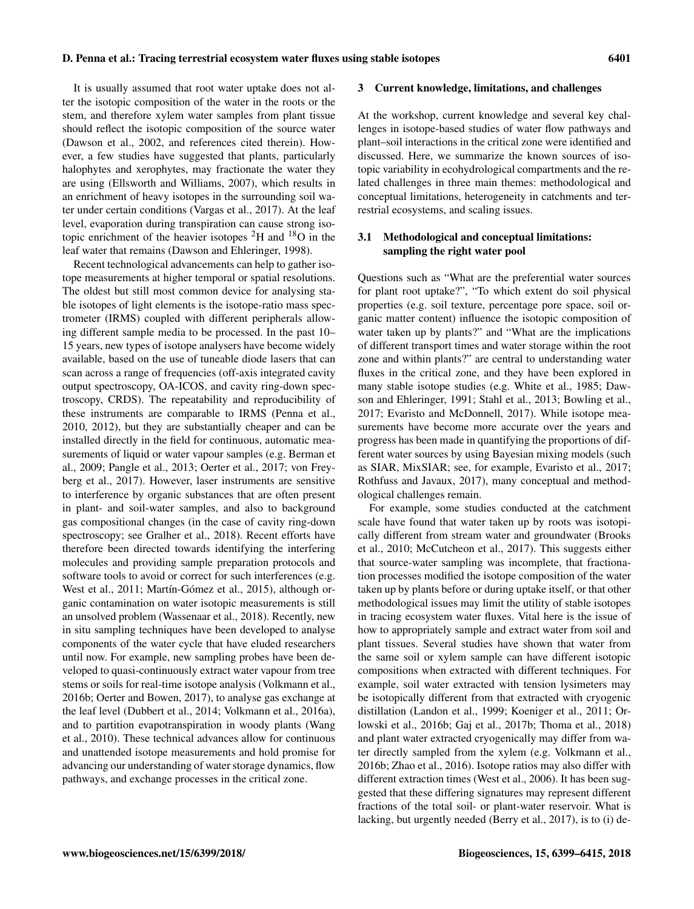It is usually assumed that root water uptake does not alter the isotopic composition of the water in the roots or the stem, and therefore xylem water samples from plant tissue should reflect the isotopic composition of the source water (Dawson et al., 2002, and references cited therein). However, a few studies have suggested that plants, particularly halophytes and xerophytes, may fractionate the water they are using (Ellsworth and Williams, 2007), which results in an enrichment of heavy isotopes in the surrounding soil water under certain conditions (Vargas et al., 2017). At the leaf level, evaporation during transpiration can cause strong isotopic enrichment of the heavier isotopes <sup>2</sup>H and <sup>18</sup>O in the leaf water that remains (Dawson and Ehleringer, 1998).

Recent technological advancements can help to gather isotope measurements at higher temporal or spatial resolutions. The oldest but still most common device for analysing stable isotopes of light elements is the isotope-ratio mass spectrometer (IRMS) coupled with different peripherals allowing different sample media to be processed. In the past 10– 15 years, new types of isotope analysers have become widely available, based on the use of tuneable diode lasers that can scan across a range of frequencies (off-axis integrated cavity output spectroscopy, OA-ICOS, and cavity ring-down spectroscopy, CRDS). The repeatability and reproducibility of these instruments are comparable to IRMS (Penna et al., 2010, 2012), but they are substantially cheaper and can be installed directly in the field for continuous, automatic measurements of liquid or water vapour samples (e.g. Berman et al., 2009; Pangle et al., 2013; Oerter et al., 2017; von Freyberg et al., 2017). However, laser instruments are sensitive to interference by organic substances that are often present in plant- and soil-water samples, and also to background gas compositional changes (in the case of cavity ring-down spectroscopy; see Gralher et al., 2018). Recent efforts have therefore been directed towards identifying the interfering molecules and providing sample preparation protocols and software tools to avoid or correct for such interferences (e.g. West et al., 2011; Martín-Gómez et al., 2015), although organic contamination on water isotopic measurements is still an unsolved problem (Wassenaar et al., 2018). Recently, new in situ sampling techniques have been developed to analyse components of the water cycle that have eluded researchers until now. For example, new sampling probes have been developed to quasi-continuously extract water vapour from tree stems or soils for real-time isotope analysis (Volkmann et al., 2016b; Oerter and Bowen, 2017), to analyse gas exchange at the leaf level (Dubbert et al., 2014; Volkmann et al., 2016a), and to partition evapotranspiration in woody plants (Wang et al., 2010). These technical advances allow for continuous and unattended isotope measurements and hold promise for advancing our understanding of water storage dynamics, flow pathways, and exchange processes in the critical zone.

#### 3 Current knowledge, limitations, and challenges

At the workshop, current knowledge and several key challenges in isotope-based studies of water flow pathways and plant–soil interactions in the critical zone were identified and discussed. Here, we summarize the known sources of isotopic variability in ecohydrological compartments and the related challenges in three main themes: methodological and conceptual limitations, heterogeneity in catchments and terrestrial ecosystems, and scaling issues.

# 3.1 Methodological and conceptual limitations: sampling the right water pool

Questions such as "What are the preferential water sources for plant root uptake?", "To which extent do soil physical properties (e.g. soil texture, percentage pore space, soil organic matter content) influence the isotopic composition of water taken up by plants?" and "What are the implications" of different transport times and water storage within the root zone and within plants?" are central to understanding water fluxes in the critical zone, and they have been explored in many stable isotope studies (e.g. White et al., 1985; Dawson and Ehleringer, 1991; Stahl et al., 2013; Bowling et al., 2017; Evaristo and McDonnell, 2017). While isotope measurements have become more accurate over the years and progress has been made in quantifying the proportions of different water sources by using Bayesian mixing models (such as SIAR, MixSIAR; see, for example, Evaristo et al., 2017; Rothfuss and Javaux, 2017), many conceptual and methodological challenges remain.

For example, some studies conducted at the catchment scale have found that water taken up by roots was isotopically different from stream water and groundwater (Brooks et al., 2010; McCutcheon et al., 2017). This suggests either that source-water sampling was incomplete, that fractionation processes modified the isotope composition of the water taken up by plants before or during uptake itself, or that other methodological issues may limit the utility of stable isotopes in tracing ecosystem water fluxes. Vital here is the issue of how to appropriately sample and extract water from soil and plant tissues. Several studies have shown that water from the same soil or xylem sample can have different isotopic compositions when extracted with different techniques. For example, soil water extracted with tension lysimeters may be isotopically different from that extracted with cryogenic distillation (Landon et al., 1999; Koeniger et al., 2011; Orlowski et al., 2016b; Gaj et al., 2017b; Thoma et al., 2018) and plant water extracted cryogenically may differ from water directly sampled from the xylem (e.g. Volkmann et al., 2016b; Zhao et al., 2016). Isotope ratios may also differ with different extraction times (West et al., 2006). It has been suggested that these differing signatures may represent different fractions of the total soil- or plant-water reservoir. What is lacking, but urgently needed (Berry et al., 2017), is to (i) de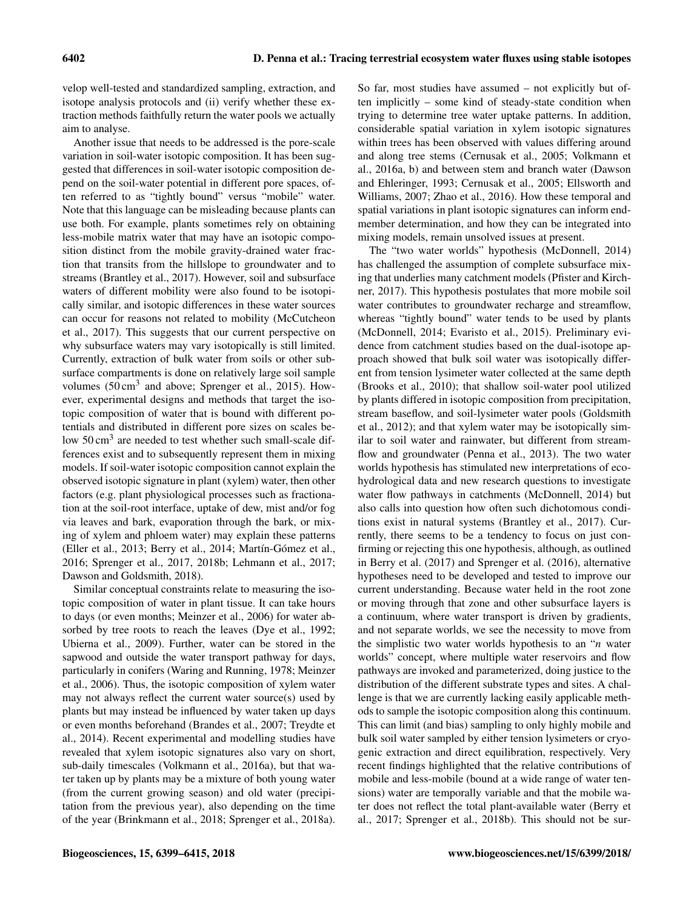velop well-tested and standardized sampling, extraction, and isotope analysis protocols and (ii) verify whether these extraction methods faithfully return the water pools we actually aim to analyse.

Another issue that needs to be addressed is the pore-scale variation in soil-water isotopic composition. It has been suggested that differences in soil-water isotopic composition depend on the soil-water potential in different pore spaces, often referred to as "tightly bound" versus "mobile" water. Note that this language can be misleading because plants can use both. For example, plants sometimes rely on obtaining less-mobile matrix water that may have an isotopic composition distinct from the mobile gravity-drained water fraction that transits from the hillslope to groundwater and to streams (Brantley et al., 2017). However, soil and subsurface waters of different mobility were also found to be isotopically similar, and isotopic differences in these water sources can occur for reasons not related to mobility (McCutcheon et al., 2017). This suggests that our current perspective on why subsurface waters may vary isotopically is still limited. Currently, extraction of bulk water from soils or other subsurface compartments is done on relatively large soil sample volumes  $(50 \text{ cm}^3 \text{ and above})$ ; Sprenger et al., 2015). However, experimental designs and methods that target the isotopic composition of water that is bound with different potentials and distributed in different pore sizes on scales below 50 cm<sup>3</sup> are needed to test whether such small-scale differences exist and to subsequently represent them in mixing models. If soil-water isotopic composition cannot explain the observed isotopic signature in plant (xylem) water, then other factors (e.g. plant physiological processes such as fractionation at the soil-root interface, uptake of dew, mist and/or fog via leaves and bark, evaporation through the bark, or mixing of xylem and phloem water) may explain these patterns (Eller et al., 2013; Berry et al., 2014; Martín-Gómez et al., 2016; Sprenger et al., 2017, 2018b; Lehmann et al., 2017; Dawson and Goldsmith, 2018).

Similar conceptual constraints relate to measuring the isotopic composition of water in plant tissue. It can take hours to days (or even months; Meinzer et al., 2006) for water absorbed by tree roots to reach the leaves (Dye et al., 1992; Ubierna et al., 2009). Further, water can be stored in the sapwood and outside the water transport pathway for days, particularly in conifers (Waring and Running, 1978; Meinzer et al., 2006). Thus, the isotopic composition of xylem water may not always reflect the current water source(s) used by plants but may instead be influenced by water taken up days or even months beforehand (Brandes et al., 2007; Treydte et al., 2014). Recent experimental and modelling studies have revealed that xylem isotopic signatures also vary on short, sub-daily timescales (Volkmann et al., 2016a), but that water taken up by plants may be a mixture of both young water (from the current growing season) and old water (precipitation from the previous year), also depending on the time of the year (Brinkmann et al., 2018; Sprenger et al., 2018a). So far, most studies have assumed – not explicitly but often implicitly – some kind of steady-state condition when trying to determine tree water uptake patterns. In addition, considerable spatial variation in xylem isotopic signatures within trees has been observed with values differing around and along tree stems (Cernusak et al., 2005; Volkmann et al., 2016a, b) and between stem and branch water (Dawson and Ehleringer, 1993; Cernusak et al., 2005; Ellsworth and Williams, 2007; Zhao et al., 2016). How these temporal and spatial variations in plant isotopic signatures can inform endmember determination, and how they can be integrated into mixing models, remain unsolved issues at present.

The "two water worlds" hypothesis (McDonnell, 2014) has challenged the assumption of complete subsurface mixing that underlies many catchment models (Pfister and Kirchner, 2017). This hypothesis postulates that more mobile soil water contributes to groundwater recharge and streamflow, whereas "tightly bound" water tends to be used by plants (McDonnell, 2014; Evaristo et al., 2015). Preliminary evidence from catchment studies based on the dual-isotope approach showed that bulk soil water was isotopically different from tension lysimeter water collected at the same depth (Brooks et al., 2010); that shallow soil-water pool utilized by plants differed in isotopic composition from precipitation, stream baseflow, and soil-lysimeter water pools (Goldsmith et al., 2012); and that xylem water may be isotopically similar to soil water and rainwater, but different from streamflow and groundwater (Penna et al., 2013). The two water worlds hypothesis has stimulated new interpretations of ecohydrological data and new research questions to investigate water flow pathways in catchments (McDonnell, 2014) but also calls into question how often such dichotomous conditions exist in natural systems (Brantley et al., 2017). Currently, there seems to be a tendency to focus on just confirming or rejecting this one hypothesis, although, as outlined in Berry et al. (2017) and Sprenger et al. (2016), alternative hypotheses need to be developed and tested to improve our current understanding. Because water held in the root zone or moving through that zone and other subsurface layers is a continuum, where water transport is driven by gradients, and not separate worlds, we see the necessity to move from the simplistic two water worlds hypothesis to an " $n$  water worlds" concept, where multiple water reservoirs and flow pathways are invoked and parameterized, doing justice to the distribution of the different substrate types and sites. A challenge is that we are currently lacking easily applicable methods to sample the isotopic composition along this continuum. This can limit (and bias) sampling to only highly mobile and bulk soil water sampled by either tension lysimeters or cryogenic extraction and direct equilibration, respectively. Very recent findings highlighted that the relative contributions of mobile and less-mobile (bound at a wide range of water tensions) water are temporally variable and that the mobile water does not reflect the total plant-available water (Berry et al., 2017; Sprenger et al., 2018b). This should not be sur-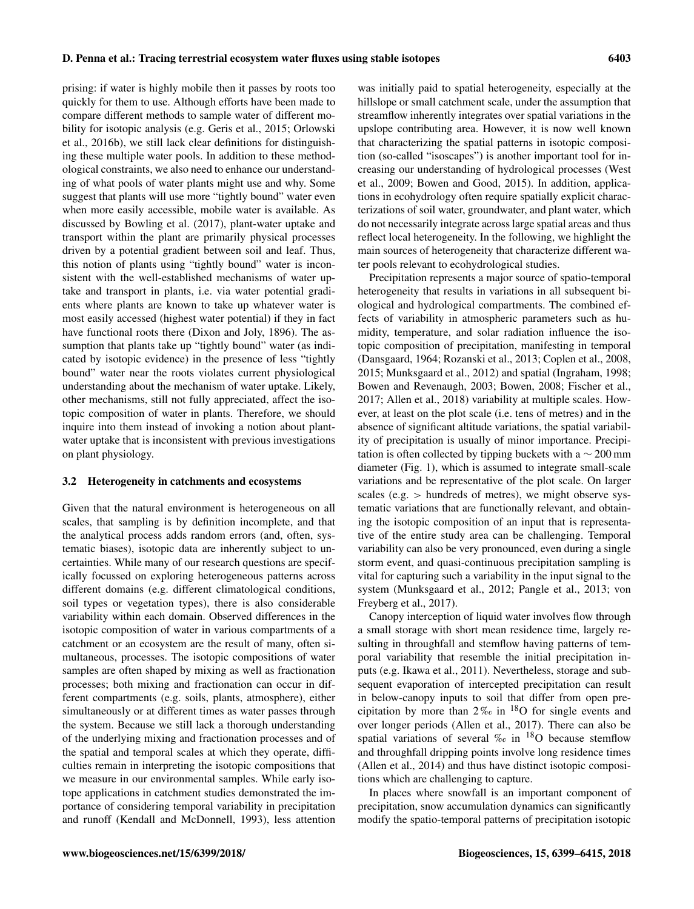prising: if water is highly mobile then it passes by roots too quickly for them to use. Although efforts have been made to compare different methods to sample water of different mobility for isotopic analysis (e.g. Geris et al., 2015; Orlowski et al., 2016b), we still lack clear definitions for distinguishing these multiple water pools. In addition to these methodological constraints, we also need to enhance our understanding of what pools of water plants might use and why. Some suggest that plants will use more "tightly bound" water even when more easily accessible, mobile water is available. As discussed by Bowling et al. (2017), plant-water uptake and transport within the plant are primarily physical processes driven by a potential gradient between soil and leaf. Thus, this notion of plants using "tightly bound" water is inconsistent with the well-established mechanisms of water uptake and transport in plants, i.e. via water potential gradients where plants are known to take up whatever water is most easily accessed (highest water potential) if they in fact have functional roots there (Dixon and Joly, 1896). The assumption that plants take up "tightly bound" water (as indicated by isotopic evidence) in the presence of less "tightly bound" water near the roots violates current physiological understanding about the mechanism of water uptake. Likely, other mechanisms, still not fully appreciated, affect the isotopic composition of water in plants. Therefore, we should inquire into them instead of invoking a notion about plantwater uptake that is inconsistent with previous investigations on plant physiology.

#### 3.2 Heterogeneity in catchments and ecosystems

Given that the natural environment is heterogeneous on all scales, that sampling is by definition incomplete, and that the analytical process adds random errors (and, often, systematic biases), isotopic data are inherently subject to uncertainties. While many of our research questions are specifically focussed on exploring heterogeneous patterns across different domains (e.g. different climatological conditions, soil types or vegetation types), there is also considerable variability within each domain. Observed differences in the isotopic composition of water in various compartments of a catchment or an ecosystem are the result of many, often simultaneous, processes. The isotopic compositions of water samples are often shaped by mixing as well as fractionation processes; both mixing and fractionation can occur in different compartments (e.g. soils, plants, atmosphere), either simultaneously or at different times as water passes through the system. Because we still lack a thorough understanding of the underlying mixing and fractionation processes and of the spatial and temporal scales at which they operate, difficulties remain in interpreting the isotopic compositions that we measure in our environmental samples. While early isotope applications in catchment studies demonstrated the importance of considering temporal variability in precipitation and runoff (Kendall and McDonnell, 1993), less attention was initially paid to spatial heterogeneity, especially at the hillslope or small catchment scale, under the assumption that streamflow inherently integrates over spatial variations in the upslope contributing area. However, it is now well known that characterizing the spatial patterns in isotopic composition (so-called "isoscapes") is another important tool for increasing our understanding of hydrological processes (West et al., 2009; Bowen and Good, 2015). In addition, applications in ecohydrology often require spatially explicit characterizations of soil water, groundwater, and plant water, which do not necessarily integrate across large spatial areas and thus reflect local heterogeneity. In the following, we highlight the main sources of heterogeneity that characterize different water pools relevant to ecohydrological studies.

Precipitation represents a major source of spatio-temporal heterogeneity that results in variations in all subsequent biological and hydrological compartments. The combined effects of variability in atmospheric parameters such as humidity, temperature, and solar radiation influence the isotopic composition of precipitation, manifesting in temporal (Dansgaard, 1964; Rozanski et al., 2013; Coplen et al., 2008, 2015; Munksgaard et al., 2012) and spatial (Ingraham, 1998; Bowen and Revenaugh, 2003; Bowen, 2008; Fischer et al., 2017; Allen et al., 2018) variability at multiple scales. However, at least on the plot scale (i.e. tens of metres) and in the absence of significant altitude variations, the spatial variability of precipitation is usually of minor importance. Precipitation is often collected by tipping buckets with a  $\sim$  200 mm diameter (Fig. 1), which is assumed to integrate small-scale variations and be representative of the plot scale. On larger scales (e.g.  $>$  hundreds of metres), we might observe systematic variations that are functionally relevant, and obtaining the isotopic composition of an input that is representative of the entire study area can be challenging. Temporal variability can also be very pronounced, even during a single storm event, and quasi-continuous precipitation sampling is vital for capturing such a variability in the input signal to the system (Munksgaard et al., 2012; Pangle et al., 2013; von Freyberg et al., 2017).

Canopy interception of liquid water involves flow through a small storage with short mean residence time, largely resulting in throughfall and stemflow having patterns of temporal variability that resemble the initial precipitation inputs (e.g. Ikawa et al., 2011). Nevertheless, storage and subsequent evaporation of intercepted precipitation can result in below-canopy inputs to soil that differ from open precipitation by more than  $2\%$  in <sup>18</sup>O for single events and over longer periods (Allen et al., 2017). There can also be spatial variations of several  $\%$  in  $^{18}$ O because stemflow and throughfall dripping points involve long residence times (Allen et al., 2014) and thus have distinct isotopic compositions which are challenging to capture.

In places where snowfall is an important component of precipitation, snow accumulation dynamics can significantly modify the spatio-temporal patterns of precipitation isotopic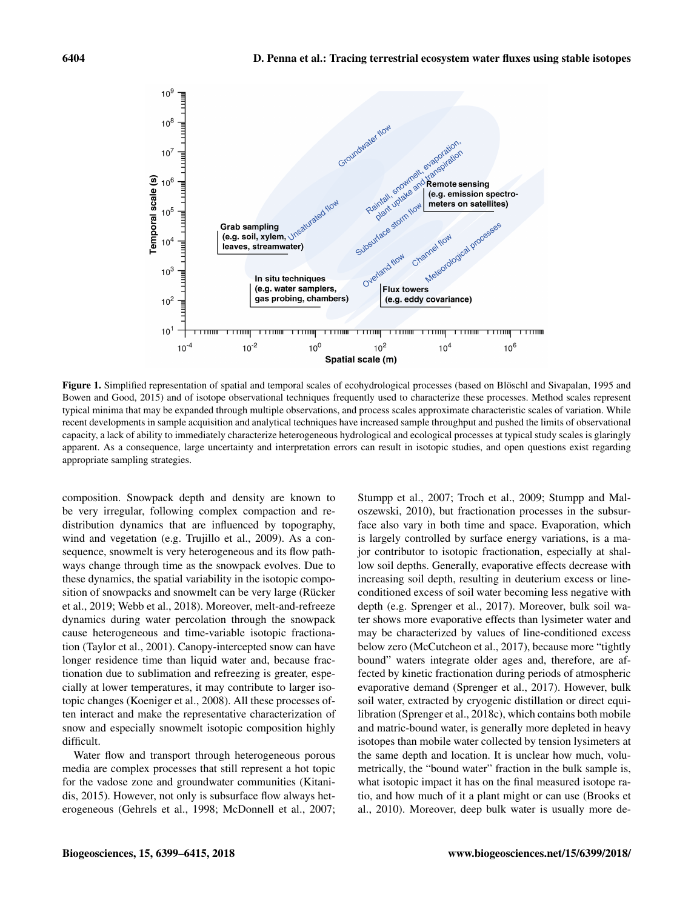

Figure 1. Simplified representation of spatial and temporal scales of ecohydrological processes (based on Blöschl and Sivapalan, 1995 and Bowen and Good, 2015) and of isotope observational techniques frequently used to characterize these processes. Method scales represent typical minima that may be expanded through multiple observations, and process scales approximate characteristic scales of variation. While recent developments in sample acquisition and analytical techniques have increased sample throughput and pushed the limits of observational capacity, a lack of ability to immediately characterize heterogeneous hydrological and ecological processes at typical study scales is glaringly apparent. As a consequence, large uncertainty and interpretation errors can result in isotopic studies, and open questions exist regarding appropriate sampling strategies.

composition. Snowpack depth and density are known to be very irregular, following complex compaction and redistribution dynamics that are influenced by topography, wind and vegetation (e.g. Trujillo et al., 2009). As a consequence, snowmelt is very heterogeneous and its flow pathways change through time as the snowpack evolves. Due to these dynamics, the spatial variability in the isotopic composition of snowpacks and snowmelt can be very large (Rücker et al., 2019; Webb et al., 2018). Moreover, melt-and-refreeze dynamics during water percolation through the snowpack cause heterogeneous and time-variable isotopic fractionation (Taylor et al., 2001). Canopy-intercepted snow can have longer residence time than liquid water and, because fractionation due to sublimation and refreezing is greater, especially at lower temperatures, it may contribute to larger isotopic changes (Koeniger et al., 2008). All these processes often interact and make the representative characterization of snow and especially snowmelt isotopic composition highly difficult.

Water flow and transport through heterogeneous porous media are complex processes that still represent a hot topic for the vadose zone and groundwater communities (Kitanidis, 2015). However, not only is subsurface flow always heterogeneous (Gehrels et al., 1998; McDonnell et al., 2007;

Stumpp et al., 2007; Troch et al., 2009; Stumpp and Maloszewski, 2010), but fractionation processes in the subsurface also vary in both time and space. Evaporation, which is largely controlled by surface energy variations, is a major contributor to isotopic fractionation, especially at shallow soil depths. Generally, evaporative effects decrease with increasing soil depth, resulting in deuterium excess or lineconditioned excess of soil water becoming less negative with depth (e.g. Sprenger et al., 2017). Moreover, bulk soil water shows more evaporative effects than lysimeter water and may be characterized by values of line-conditioned excess below zero (McCutcheon et al., 2017), because more "tightly bound" waters integrate older ages and, therefore, are affected by kinetic fractionation during periods of atmospheric evaporative demand (Sprenger et al., 2017). However, bulk soil water, extracted by cryogenic distillation or direct equilibration (Sprenger et al., 2018c), which contains both mobile and matric-bound water, is generally more depleted in heavy isotopes than mobile water collected by tension lysimeters at the same depth and location. It is unclear how much, volumetrically, the "bound water" fraction in the bulk sample is, what isotopic impact it has on the final measured isotope ratio, and how much of it a plant might or can use (Brooks et al., 2010). Moreover, deep bulk water is usually more de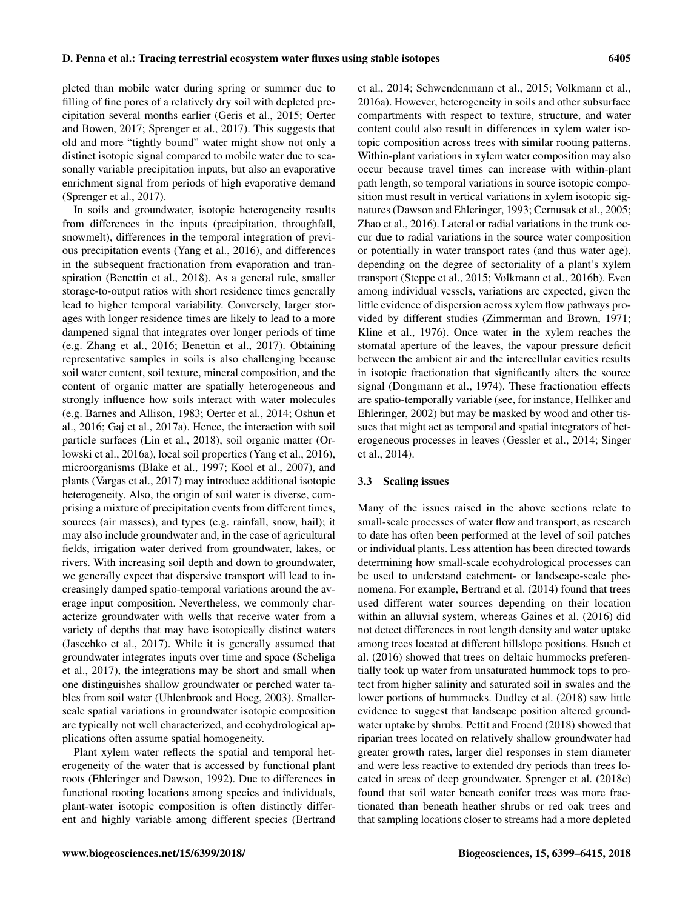pleted than mobile water during spring or summer due to filling of fine pores of a relatively dry soil with depleted precipitation several months earlier (Geris et al., 2015; Oerter and Bowen, 2017; Sprenger et al., 2017). This suggests that old and more "tightly bound" water might show not only a distinct isotopic signal compared to mobile water due to seasonally variable precipitation inputs, but also an evaporative enrichment signal from periods of high evaporative demand (Sprenger et al., 2017).

In soils and groundwater, isotopic heterogeneity results from differences in the inputs (precipitation, throughfall, snowmelt), differences in the temporal integration of previous precipitation events (Yang et al., 2016), and differences in the subsequent fractionation from evaporation and transpiration (Benettin et al., 2018). As a general rule, smaller storage-to-output ratios with short residence times generally lead to higher temporal variability. Conversely, larger storages with longer residence times are likely to lead to a more dampened signal that integrates over longer periods of time (e.g. Zhang et al., 2016; Benettin et al., 2017). Obtaining representative samples in soils is also challenging because soil water content, soil texture, mineral composition, and the content of organic matter are spatially heterogeneous and strongly influence how soils interact with water molecules (e.g. Barnes and Allison, 1983; Oerter et al., 2014; Oshun et al., 2016; Gaj et al., 2017a). Hence, the interaction with soil particle surfaces (Lin et al., 2018), soil organic matter (Orlowski et al., 2016a), local soil properties (Yang et al., 2016), microorganisms (Blake et al., 1997; Kool et al., 2007), and plants (Vargas et al., 2017) may introduce additional isotopic heterogeneity. Also, the origin of soil water is diverse, comprising a mixture of precipitation events from different times, sources (air masses), and types (e.g. rainfall, snow, hail); it may also include groundwater and, in the case of agricultural fields, irrigation water derived from groundwater, lakes, or rivers. With increasing soil depth and down to groundwater, we generally expect that dispersive transport will lead to increasingly damped spatio-temporal variations around the average input composition. Nevertheless, we commonly characterize groundwater with wells that receive water from a variety of depths that may have isotopically distinct waters (Jasechko et al., 2017). While it is generally assumed that groundwater integrates inputs over time and space (Scheliga et al., 2017), the integrations may be short and small when one distinguishes shallow groundwater or perched water tables from soil water (Uhlenbrook and Hoeg, 2003). Smallerscale spatial variations in groundwater isotopic composition are typically not well characterized, and ecohydrological applications often assume spatial homogeneity.

Plant xylem water reflects the spatial and temporal heterogeneity of the water that is accessed by functional plant roots (Ehleringer and Dawson, 1992). Due to differences in functional rooting locations among species and individuals, plant-water isotopic composition is often distinctly different and highly variable among different species (Bertrand et al., 2014; Schwendenmann et al., 2015; Volkmann et al., 2016a). However, heterogeneity in soils and other subsurface compartments with respect to texture, structure, and water content could also result in differences in xylem water isotopic composition across trees with similar rooting patterns. Within-plant variations in xylem water composition may also occur because travel times can increase with within-plant path length, so temporal variations in source isotopic composition must result in vertical variations in xylem isotopic signatures (Dawson and Ehleringer, 1993; Cernusak et al., 2005; Zhao et al., 2016). Lateral or radial variations in the trunk occur due to radial variations in the source water composition or potentially in water transport rates (and thus water age), depending on the degree of sectoriality of a plant's xylem transport (Steppe et al., 2015; Volkmann et al., 2016b). Even among individual vessels, variations are expected, given the little evidence of dispersion across xylem flow pathways provided by different studies (Zimmerman and Brown, 1971; Kline et al., 1976). Once water in the xylem reaches the stomatal aperture of the leaves, the vapour pressure deficit between the ambient air and the intercellular cavities results in isotopic fractionation that significantly alters the source signal (Dongmann et al., 1974). These fractionation effects are spatio-temporally variable (see, for instance, Helliker and Ehleringer, 2002) but may be masked by wood and other tissues that might act as temporal and spatial integrators of heterogeneous processes in leaves (Gessler et al., 2014; Singer et al., 2014).

## 3.3 Scaling issues

Many of the issues raised in the above sections relate to small-scale processes of water flow and transport, as research to date has often been performed at the level of soil patches or individual plants. Less attention has been directed towards determining how small-scale ecohydrological processes can be used to understand catchment- or landscape-scale phenomena. For example, Bertrand et al. (2014) found that trees used different water sources depending on their location within an alluvial system, whereas Gaines et al. (2016) did not detect differences in root length density and water uptake among trees located at different hillslope positions. Hsueh et al. (2016) showed that trees on deltaic hummocks preferentially took up water from unsaturated hummock tops to protect from higher salinity and saturated soil in swales and the lower portions of hummocks. Dudley et al. (2018) saw little evidence to suggest that landscape position altered groundwater uptake by shrubs. Pettit and Froend (2018) showed that riparian trees located on relatively shallow groundwater had greater growth rates, larger diel responses in stem diameter and were less reactive to extended dry periods than trees located in areas of deep groundwater. Sprenger et al. (2018c) found that soil water beneath conifer trees was more fractionated than beneath heather shrubs or red oak trees and that sampling locations closer to streams had a more depleted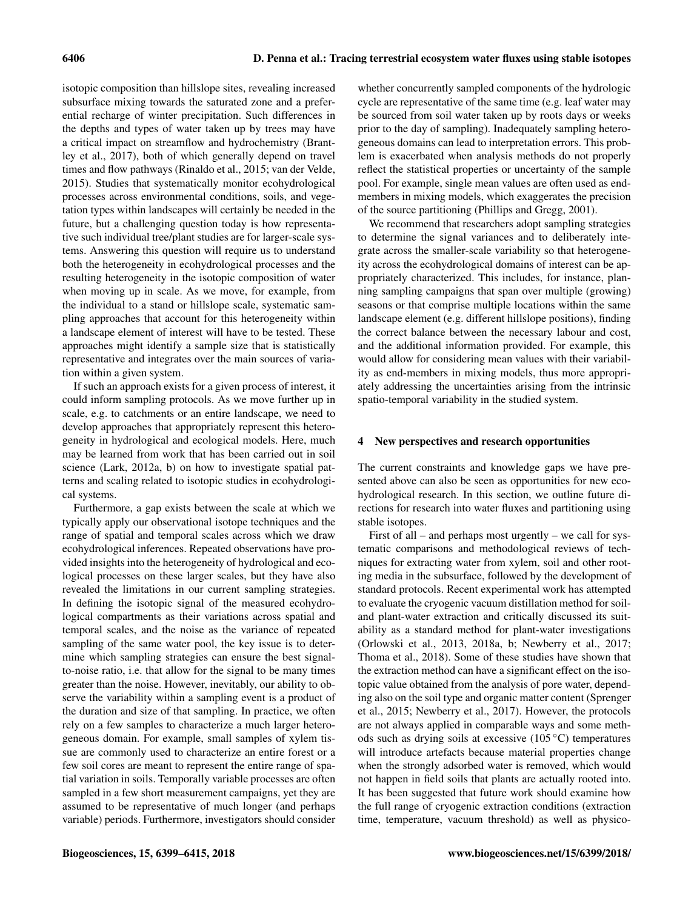isotopic composition than hillslope sites, revealing increased subsurface mixing towards the saturated zone and a preferential recharge of winter precipitation. Such differences in the depths and types of water taken up by trees may have a critical impact on streamflow and hydrochemistry (Brantley et al., 2017), both of which generally depend on travel times and flow pathways (Rinaldo et al., 2015; van der Velde, 2015). Studies that systematically monitor ecohydrological processes across environmental conditions, soils, and vegetation types within landscapes will certainly be needed in the future, but a challenging question today is how representative such individual tree/plant studies are for larger-scale systems. Answering this question will require us to understand both the heterogeneity in ecohydrological processes and the resulting heterogeneity in the isotopic composition of water when moving up in scale. As we move, for example, from the individual to a stand or hillslope scale, systematic sampling approaches that account for this heterogeneity within a landscape element of interest will have to be tested. These approaches might identify a sample size that is statistically representative and integrates over the main sources of variation within a given system.

If such an approach exists for a given process of interest, it could inform sampling protocols. As we move further up in scale, e.g. to catchments or an entire landscape, we need to develop approaches that appropriately represent this heterogeneity in hydrological and ecological models. Here, much may be learned from work that has been carried out in soil science (Lark, 2012a, b) on how to investigate spatial patterns and scaling related to isotopic studies in ecohydrological systems.

Furthermore, a gap exists between the scale at which we typically apply our observational isotope techniques and the range of spatial and temporal scales across which we draw ecohydrological inferences. Repeated observations have provided insights into the heterogeneity of hydrological and ecological processes on these larger scales, but they have also revealed the limitations in our current sampling strategies. In defining the isotopic signal of the measured ecohydrological compartments as their variations across spatial and temporal scales, and the noise as the variance of repeated sampling of the same water pool, the key issue is to determine which sampling strategies can ensure the best signalto-noise ratio, i.e. that allow for the signal to be many times greater than the noise. However, inevitably, our ability to observe the variability within a sampling event is a product of the duration and size of that sampling. In practice, we often rely on a few samples to characterize a much larger heterogeneous domain. For example, small samples of xylem tissue are commonly used to characterize an entire forest or a few soil cores are meant to represent the entire range of spatial variation in soils. Temporally variable processes are often sampled in a few short measurement campaigns, yet they are assumed to be representative of much longer (and perhaps variable) periods. Furthermore, investigators should consider

whether concurrently sampled components of the hydrologic cycle are representative of the same time (e.g. leaf water may be sourced from soil water taken up by roots days or weeks prior to the day of sampling). Inadequately sampling heterogeneous domains can lead to interpretation errors. This problem is exacerbated when analysis methods do not properly reflect the statistical properties or uncertainty of the sample pool. For example, single mean values are often used as endmembers in mixing models, which exaggerates the precision of the source partitioning (Phillips and Gregg, 2001).

We recommend that researchers adopt sampling strategies to determine the signal variances and to deliberately integrate across the smaller-scale variability so that heterogeneity across the ecohydrological domains of interest can be appropriately characterized. This includes, for instance, planning sampling campaigns that span over multiple (growing) seasons or that comprise multiple locations within the same landscape element (e.g. different hillslope positions), finding the correct balance between the necessary labour and cost, and the additional information provided. For example, this would allow for considering mean values with their variability as end-members in mixing models, thus more appropriately addressing the uncertainties arising from the intrinsic spatio-temporal variability in the studied system.

## 4 New perspectives and research opportunities

The current constraints and knowledge gaps we have presented above can also be seen as opportunities for new ecohydrological research. In this section, we outline future directions for research into water fluxes and partitioning using stable isotopes.

First of all – and perhaps most urgently – we call for systematic comparisons and methodological reviews of techniques for extracting water from xylem, soil and other rooting media in the subsurface, followed by the development of standard protocols. Recent experimental work has attempted to evaluate the cryogenic vacuum distillation method for soiland plant-water extraction and critically discussed its suitability as a standard method for plant-water investigations (Orlowski et al., 2013, 2018a, b; Newberry et al., 2017; Thoma et al., 2018). Some of these studies have shown that the extraction method can have a significant effect on the isotopic value obtained from the analysis of pore water, depending also on the soil type and organic matter content (Sprenger et al., 2015; Newberry et al., 2017). However, the protocols are not always applied in comparable ways and some methods such as drying soils at excessive (105 ◦C) temperatures will introduce artefacts because material properties change when the strongly adsorbed water is removed, which would not happen in field soils that plants are actually rooted into. It has been suggested that future work should examine how the full range of cryogenic extraction conditions (extraction time, temperature, vacuum threshold) as well as physico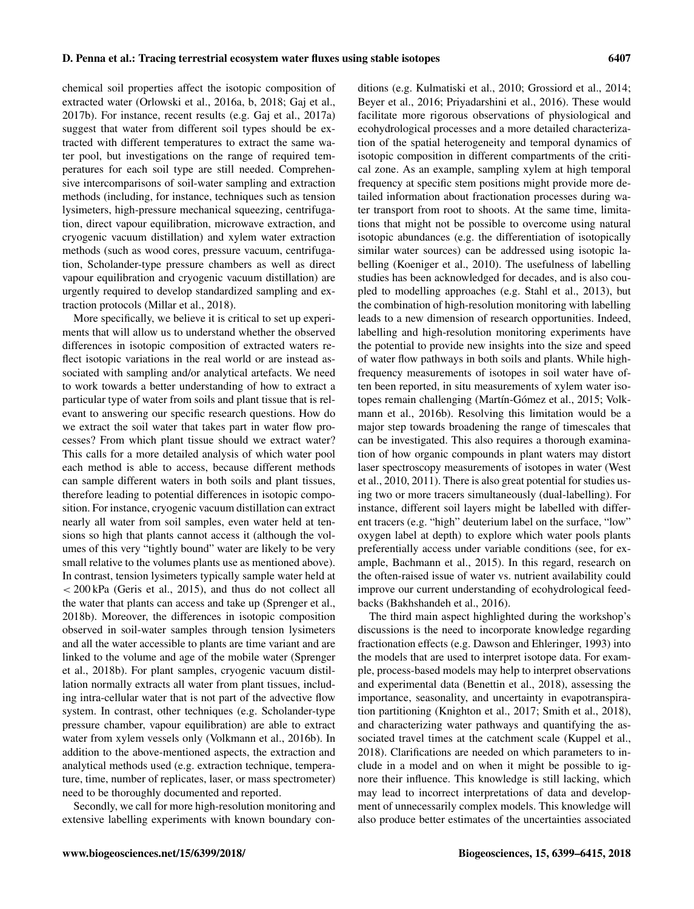chemical soil properties affect the isotopic composition of extracted water (Orlowski et al., 2016a, b, 2018; Gaj et al., 2017b). For instance, recent results (e.g. Gaj et al., 2017a) suggest that water from different soil types should be extracted with different temperatures to extract the same water pool, but investigations on the range of required temperatures for each soil type are still needed. Comprehensive intercomparisons of soil-water sampling and extraction methods (including, for instance, techniques such as tension lysimeters, high-pressure mechanical squeezing, centrifugation, direct vapour equilibration, microwave extraction, and cryogenic vacuum distillation) and xylem water extraction methods (such as wood cores, pressure vacuum, centrifugation, Scholander-type pressure chambers as well as direct vapour equilibration and cryogenic vacuum distillation) are urgently required to develop standardized sampling and extraction protocols (Millar et al., 2018).

More specifically, we believe it is critical to set up experiments that will allow us to understand whether the observed differences in isotopic composition of extracted waters reflect isotopic variations in the real world or are instead associated with sampling and/or analytical artefacts. We need to work towards a better understanding of how to extract a particular type of water from soils and plant tissue that is relevant to answering our specific research questions. How do we extract the soil water that takes part in water flow processes? From which plant tissue should we extract water? This calls for a more detailed analysis of which water pool each method is able to access, because different methods can sample different waters in both soils and plant tissues, therefore leading to potential differences in isotopic composition. For instance, cryogenic vacuum distillation can extract nearly all water from soil samples, even water held at tensions so high that plants cannot access it (although the volumes of this very "tightly bound" water are likely to be very small relative to the volumes plants use as mentioned above). In contrast, tension lysimeters typically sample water held at < 200 kPa (Geris et al., 2015), and thus do not collect all the water that plants can access and take up (Sprenger et al., 2018b). Moreover, the differences in isotopic composition observed in soil-water samples through tension lysimeters and all the water accessible to plants are time variant and are linked to the volume and age of the mobile water (Sprenger et al., 2018b). For plant samples, cryogenic vacuum distillation normally extracts all water from plant tissues, including intra-cellular water that is not part of the advective flow system. In contrast, other techniques (e.g. Scholander-type pressure chamber, vapour equilibration) are able to extract water from xylem vessels only (Volkmann et al., 2016b). In addition to the above-mentioned aspects, the extraction and analytical methods used (e.g. extraction technique, temperature, time, number of replicates, laser, or mass spectrometer) need to be thoroughly documented and reported.

Secondly, we call for more high-resolution monitoring and extensive labelling experiments with known boundary conditions (e.g. Kulmatiski et al., 2010; Grossiord et al., 2014; Beyer et al., 2016; Priyadarshini et al., 2016). These would facilitate more rigorous observations of physiological and ecohydrological processes and a more detailed characterization of the spatial heterogeneity and temporal dynamics of isotopic composition in different compartments of the critical zone. As an example, sampling xylem at high temporal frequency at specific stem positions might provide more detailed information about fractionation processes during water transport from root to shoots. At the same time, limitations that might not be possible to overcome using natural isotopic abundances (e.g. the differentiation of isotopically similar water sources) can be addressed using isotopic labelling (Koeniger et al., 2010). The usefulness of labelling studies has been acknowledged for decades, and is also coupled to modelling approaches (e.g. Stahl et al., 2013), but the combination of high-resolution monitoring with labelling leads to a new dimension of research opportunities. Indeed, labelling and high-resolution monitoring experiments have the potential to provide new insights into the size and speed of water flow pathways in both soils and plants. While highfrequency measurements of isotopes in soil water have often been reported, in situ measurements of xylem water isotopes remain challenging (Martín-Gómez et al., 2015; Volkmann et al., 2016b). Resolving this limitation would be a major step towards broadening the range of timescales that can be investigated. This also requires a thorough examination of how organic compounds in plant waters may distort laser spectroscopy measurements of isotopes in water (West et al., 2010, 2011). There is also great potential for studies using two or more tracers simultaneously (dual-labelling). For instance, different soil layers might be labelled with different tracers (e.g. "high" deuterium label on the surface, "low" oxygen label at depth) to explore which water pools plants preferentially access under variable conditions (see, for example, Bachmann et al., 2015). In this regard, research on the often-raised issue of water vs. nutrient availability could improve our current understanding of ecohydrological feedbacks (Bakhshandeh et al., 2016).

The third main aspect highlighted during the workshop's discussions is the need to incorporate knowledge regarding fractionation effects (e.g. Dawson and Ehleringer, 1993) into the models that are used to interpret isotope data. For example, process-based models may help to interpret observations and experimental data (Benettin et al., 2018), assessing the importance, seasonality, and uncertainty in evapotranspiration partitioning (Knighton et al., 2017; Smith et al., 2018), and characterizing water pathways and quantifying the associated travel times at the catchment scale (Kuppel et al., 2018). Clarifications are needed on which parameters to include in a model and on when it might be possible to ignore their influence. This knowledge is still lacking, which may lead to incorrect interpretations of data and development of unnecessarily complex models. This knowledge will also produce better estimates of the uncertainties associated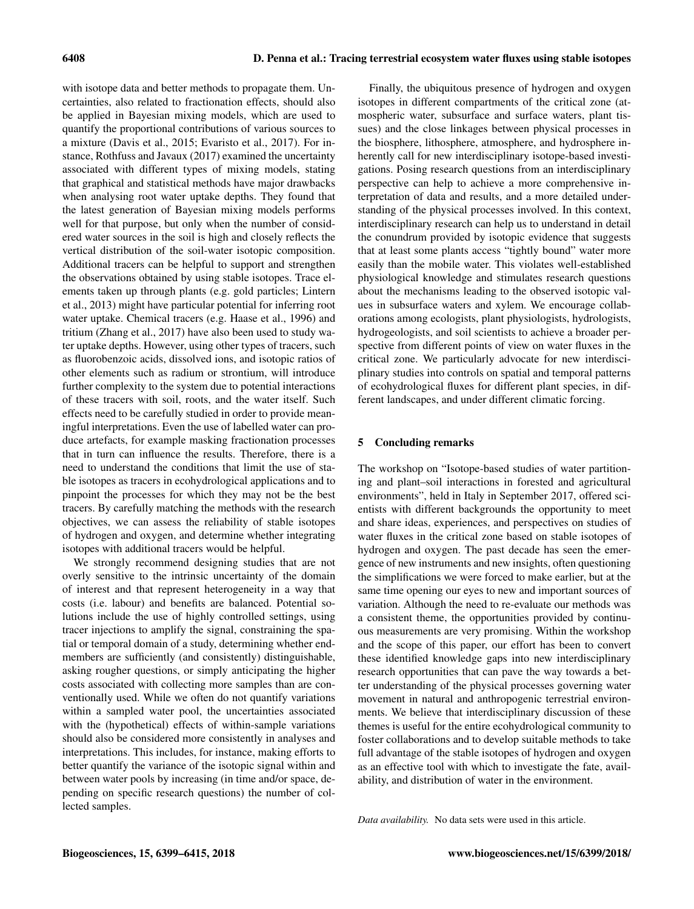with isotope data and better methods to propagate them. Uncertainties, also related to fractionation effects, should also be applied in Bayesian mixing models, which are used to quantify the proportional contributions of various sources to a mixture (Davis et al., 2015; Evaristo et al., 2017). For instance, Rothfuss and Javaux (2017) examined the uncertainty associated with different types of mixing models, stating that graphical and statistical methods have major drawbacks when analysing root water uptake depths. They found that the latest generation of Bayesian mixing models performs well for that purpose, but only when the number of considered water sources in the soil is high and closely reflects the vertical distribution of the soil-water isotopic composition. Additional tracers can be helpful to support and strengthen the observations obtained by using stable isotopes. Trace elements taken up through plants (e.g. gold particles; Lintern et al., 2013) might have particular potential for inferring root water uptake. Chemical tracers (e.g. Haase et al., 1996) and tritium (Zhang et al., 2017) have also been used to study water uptake depths. However, using other types of tracers, such as fluorobenzoic acids, dissolved ions, and isotopic ratios of other elements such as radium or strontium, will introduce further complexity to the system due to potential interactions of these tracers with soil, roots, and the water itself. Such effects need to be carefully studied in order to provide meaningful interpretations. Even the use of labelled water can produce artefacts, for example masking fractionation processes that in turn can influence the results. Therefore, there is a need to understand the conditions that limit the use of stable isotopes as tracers in ecohydrological applications and to pinpoint the processes for which they may not be the best tracers. By carefully matching the methods with the research objectives, we can assess the reliability of stable isotopes of hydrogen and oxygen, and determine whether integrating isotopes with additional tracers would be helpful.

We strongly recommend designing studies that are not overly sensitive to the intrinsic uncertainty of the domain of interest and that represent heterogeneity in a way that costs (i.e. labour) and benefits are balanced. Potential solutions include the use of highly controlled settings, using tracer injections to amplify the signal, constraining the spatial or temporal domain of a study, determining whether endmembers are sufficiently (and consistently) distinguishable, asking rougher questions, or simply anticipating the higher costs associated with collecting more samples than are conventionally used. While we often do not quantify variations within a sampled water pool, the uncertainties associated with the (hypothetical) effects of within-sample variations should also be considered more consistently in analyses and interpretations. This includes, for instance, making efforts to better quantify the variance of the isotopic signal within and between water pools by increasing (in time and/or space, depending on specific research questions) the number of collected samples.

Finally, the ubiquitous presence of hydrogen and oxygen isotopes in different compartments of the critical zone (atmospheric water, subsurface and surface waters, plant tissues) and the close linkages between physical processes in the biosphere, lithosphere, atmosphere, and hydrosphere inherently call for new interdisciplinary isotope-based investigations. Posing research questions from an interdisciplinary perspective can help to achieve a more comprehensive interpretation of data and results, and a more detailed understanding of the physical processes involved. In this context, interdisciplinary research can help us to understand in detail the conundrum provided by isotopic evidence that suggests that at least some plants access "tightly bound" water more easily than the mobile water. This violates well-established physiological knowledge and stimulates research questions about the mechanisms leading to the observed isotopic values in subsurface waters and xylem. We encourage collaborations among ecologists, plant physiologists, hydrologists, hydrogeologists, and soil scientists to achieve a broader perspective from different points of view on water fluxes in the critical zone. We particularly advocate for new interdisciplinary studies into controls on spatial and temporal patterns of ecohydrological fluxes for different plant species, in different landscapes, and under different climatic forcing.

# 5 Concluding remarks

The workshop on "Isotope-based studies of water partitioning and plant–soil interactions in forested and agricultural environments", held in Italy in September 2017, offered scientists with different backgrounds the opportunity to meet and share ideas, experiences, and perspectives on studies of water fluxes in the critical zone based on stable isotopes of hydrogen and oxygen. The past decade has seen the emergence of new instruments and new insights, often questioning the simplifications we were forced to make earlier, but at the same time opening our eyes to new and important sources of variation. Although the need to re-evaluate our methods was a consistent theme, the opportunities provided by continuous measurements are very promising. Within the workshop and the scope of this paper, our effort has been to convert these identified knowledge gaps into new interdisciplinary research opportunities that can pave the way towards a better understanding of the physical processes governing water movement in natural and anthropogenic terrestrial environments. We believe that interdisciplinary discussion of these themes is useful for the entire ecohydrological community to foster collaborations and to develop suitable methods to take full advantage of the stable isotopes of hydrogen and oxygen as an effective tool with which to investigate the fate, availability, and distribution of water in the environment.

*Data availability.* No data sets were used in this article.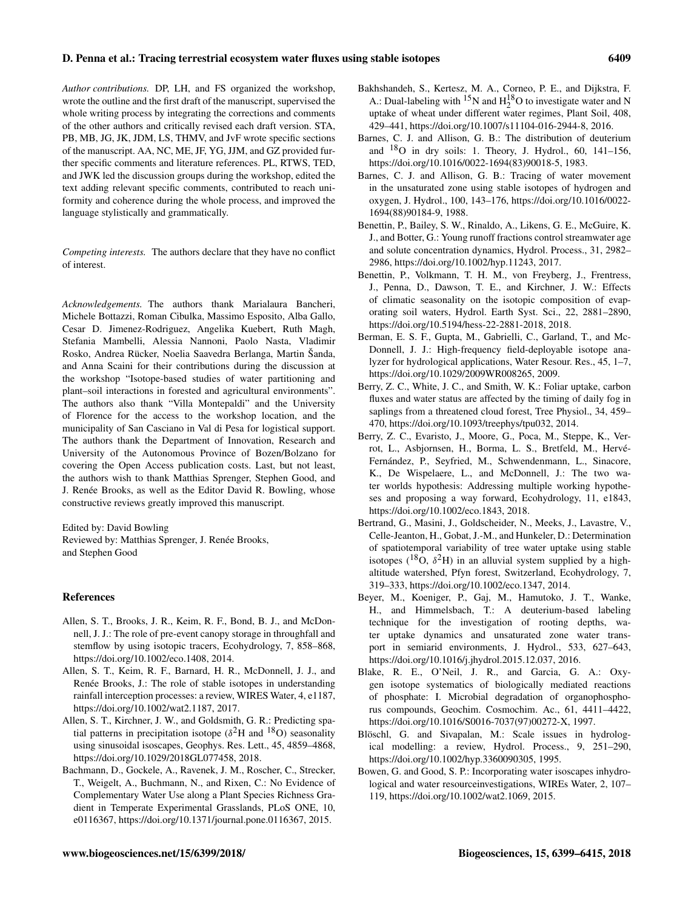*Author contributions.* DP, LH, and FS organized the workshop, wrote the outline and the first draft of the manuscript, supervised the whole writing process by integrating the corrections and comments of the other authors and critically revised each draft version. STA, PB, MB, JG, JK, JDM, LS, THMV, and JvF wrote specific sections of the manuscript. AA, NC, ME, JF, YG, JJM, and GZ provided further specific comments and literature references. PL, RTWS, TED, and JWK led the discussion groups during the workshop, edited the text adding relevant specific comments, contributed to reach uniformity and coherence during the whole process, and improved the language stylistically and grammatically.

*Competing interests.* The authors declare that they have no conflict of interest.

*Acknowledgements.* The authors thank Marialaura Bancheri, Michele Bottazzi, Roman Cibulka, Massimo Esposito, Alba Gallo, Cesar D. Jimenez-Rodriguez, Angelika Kuebert, Ruth Magh, Stefania Mambelli, Alessia Nannoni, Paolo Nasta, Vladimir Rosko, Andrea Rücker, Noelia Saavedra Berlanga, Martin Šanda, and Anna Scaini for their contributions during the discussion at the workshop "Isotope-based studies of water partitioning and plant–soil interactions in forested and agricultural environments". The authors also thank "Villa Montepaldi" and the University of Florence for the access to the workshop location, and the municipality of San Casciano in Val di Pesa for logistical support. The authors thank the Department of Innovation, Research and University of the Autonomous Province of Bozen/Bolzano for covering the Open Access publication costs. Last, but not least, the authors wish to thank Matthias Sprenger, Stephen Good, and J. Renée Brooks, as well as the Editor David R. Bowling, whose constructive reviews greatly improved this manuscript.

Edited by: David Bowling Reviewed by: Matthias Sprenger, J. Renée Brooks, and Stephen Good

## References

- Allen, S. T., Brooks, J. R., Keim, R. F., Bond, B. J., and McDonnell, J. J.: The role of pre-event canopy storage in throughfall and stemflow by using isotopic tracers, Ecohydrology, 7, 858–868, https://doi.org[/10.1002/eco.1408,](https://doi.org/10.1002/eco.1408) 2014.
- Allen, S. T., Keim, R. F., Barnard, H. R., McDonnell, J. J., and Renée Brooks, J.: The role of stable isotopes in understanding rainfall interception processes: a review, WIRES Water, 4, e1187, https://doi.org[/10.1002/wat2.1187,](https://doi.org/10.1002/wat2.1187) 2017.
- Allen, S. T., Kirchner, J. W., and Goldsmith, G. R.: Predicting spatial patterns in precipitation isotope ( $\delta^2$ H and  $^{18}$ O) seasonality using sinusoidal isoscapes, Geophys. Res. Lett., 45, 4859–4868, https://doi.org[/10.1029/2018GL077458,](https://doi.org/10.1029/2018GL077458) 2018.
- Bachmann, D., Gockele, A., Ravenek, J. M., Roscher, C., Strecker, T., Weigelt, A., Buchmann, N., and Rixen, C.: No Evidence of Complementary Water Use along a Plant Species Richness Gradient in Temperate Experimental Grasslands, PLoS ONE, 10, e0116367, https://doi.org[/10.1371/journal.pone.0116367,](https://doi.org/10.1371/journal.pone.0116367) 2015.
- Bakhshandeh, S., Kertesz, M. A., Corneo, P. E., and Dijkstra, F. A.: Dual-labeling with <sup>15</sup>N and  $H_2^{18}$ O to investigate water and N uptake of wheat under different water regimes, Plant Soil, 408, 429–441, https://doi.org[/10.1007/s11104-016-2944-8,](https://doi.org/10.1007/s11104-016-2944-8) 2016.
- Barnes, C. J. and Allison, G. B.: The distribution of deuterium and <sup>18</sup>O in dry soils: 1. Theory, J. Hydrol., 60, 141–156, https://doi.org[/10.1016/0022-1694\(83\)90018-5,](https://doi.org/10.1016/0022-1694(83)90018-5) 1983.
- Barnes, C. J. and Allison, G. B.: Tracing of water movement in the unsaturated zone using stable isotopes of hydrogen and oxygen, J. Hydrol., 100, 143–176, https://doi.org[/10.1016/0022-](https://doi.org/10.1016/0022-1694(88)90184-9) [1694\(88\)90184-9,](https://doi.org/10.1016/0022-1694(88)90184-9) 1988.
- Benettin, P., Bailey, S. W., Rinaldo, A., Likens, G. E., McGuire, K. J., and Botter, G.: Young runoff fractions control streamwater age and solute concentration dynamics, Hydrol. Process., 31, 2982– 2986, https://doi.org[/10.1002/hyp.11243,](https://doi.org/10.1002/hyp.11243) 2017.
- Benettin, P., Volkmann, T. H. M., von Freyberg, J., Frentress, J., Penna, D., Dawson, T. E., and Kirchner, J. W.: Effects of climatic seasonality on the isotopic composition of evaporating soil waters, Hydrol. Earth Syst. Sci., 22, 2881–2890, https://doi.org[/10.5194/hess-22-2881-2018,](https://doi.org/10.5194/hess-22-2881-2018) 2018.
- Berman, E. S. F., Gupta, M., Gabrielli, C., Garland, T., and Mc-Donnell, J. J.: High-frequency field-deployable isotope analyzer for hydrological applications, Water Resour. Res., 45, 1–7, https://doi.org[/10.1029/2009WR008265,](https://doi.org/10.1029/2009WR008265) 2009.
- Berry, Z. C., White, J. C., and Smith, W. K.: Foliar uptake, carbon fluxes and water status are affected by the timing of daily fog in saplings from a threatened cloud forest, Tree Physiol., 34, 459– 470, https://doi.org[/10.1093/treephys/tpu032,](https://doi.org/10.1093/treephys/tpu032) 2014.
- Berry, Z. C., Evaristo, J., Moore, G., Poca, M., Steppe, K., Verrot, L., Asbjornsen, H., Borma, L. S., Bretfeld, M., Hervé-Fernández, P., Seyfried, M., Schwendenmann, L., Sinacore, K., De Wispelaere, L., and McDonnell, J.: The two water worlds hypothesis: Addressing multiple working hypotheses and proposing a way forward, Ecohydrology, 11, e1843, https://doi.org[/10.1002/eco.1843,](https://doi.org/10.1002/eco.1843) 2018.
- Bertrand, G., Masini, J., Goldscheider, N., Meeks, J., Lavastre, V., Celle-Jeanton, H., Gobat, J.-M., and Hunkeler, D.: Determination of spatiotemporal variability of tree water uptake using stable isotopes ( $^{18}O$ ,  $\delta^2H$ ) in an alluvial system supplied by a highaltitude watershed, Pfyn forest, Switzerland, Ecohydrology, 7, 319–333, https://doi.org[/10.1002/eco.1347,](https://doi.org/10.1002/eco.1347) 2014.
- Beyer, M., Koeniger, P., Gaj, M., Hamutoko, J. T., Wanke, H., and Himmelsbach, T.: A deuterium-based labeling technique for the investigation of rooting depths, water uptake dynamics and unsaturated zone water transport in semiarid environments, J. Hydrol., 533, 627–643, https://doi.org[/10.1016/j.jhydrol.2015.12.037,](https://doi.org/10.1016/j.jhydrol.2015.12.037) 2016.
- Blake, R. E., O'Neil, J. R., and Garcia, G. A.: Oxygen isotope systematics of biologically mediated reactions of phosphate: I. Microbial degradation of organophosphorus compounds, Geochim. Cosmochim. Ac., 61, 4411–4422, https://doi.org[/10.1016/S0016-7037\(97\)00272-X,](https://doi.org/10.1016/S0016-7037(97)00272-X) 1997.
- Blöschl, G. and Sivapalan, M.: Scale issues in hydrological modelling: a review, Hydrol. Process., 9, 251–290, https://doi.org[/10.1002/hyp.3360090305,](https://doi.org/10.1002/hyp.3360090305) 1995.
- Bowen, G. and Good, S. P.: Incorporating water isoscapes inhydrological and water resourceinvestigations, WIREs Water, 2, 107– 119, https://doi.org[/10.1002/wat2.1069,](https://doi.org/10.1002/wat2.1069) 2015.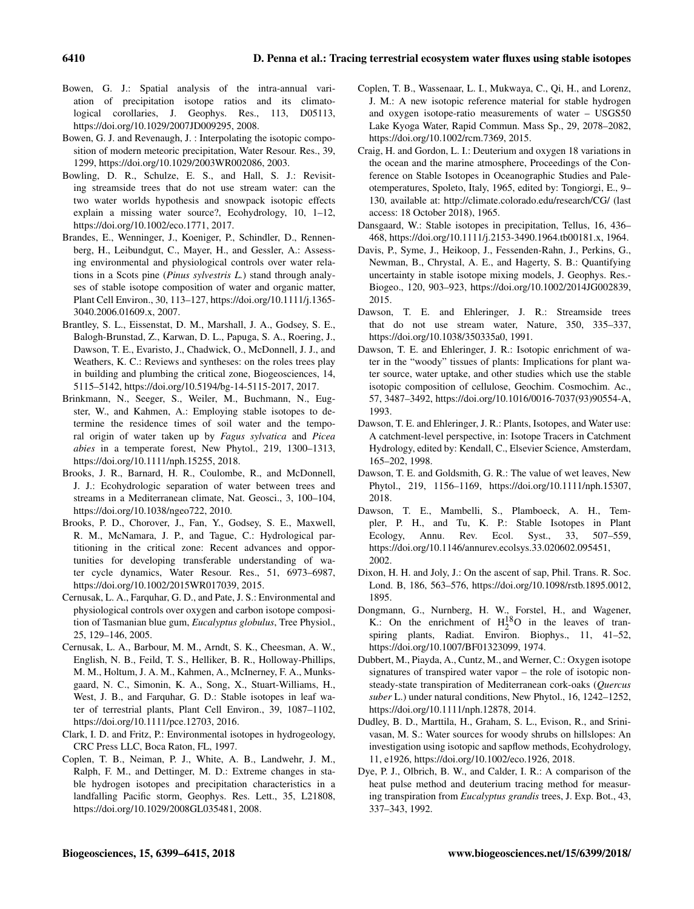- Bowen, G. J.: Spatial analysis of the intra-annual variation of precipitation isotope ratios and its climatological corollaries, J. Geophys. Res., 113, D05113, https://doi.org[/10.1029/2007JD009295,](https://doi.org/10.1029/2007JD009295) 2008.
- Bowen, G. J. and Revenaugh, J. : Interpolating the isotopic composition of modern meteoric precipitation, Water Resour. Res., 39, 1299, https://doi.org[/10.1029/2003WR002086,](https://doi.org/10.1029/2003WR002086) 2003.
- Bowling, D. R., Schulze, E. S., and Hall, S. J.: Revisiting streamside trees that do not use stream water: can the two water worlds hypothesis and snowpack isotopic effects explain a missing water source?, Ecohydrology, 10, 1–12, https://doi.org[/10.1002/eco.1771,](https://doi.org/10.1002/eco.1771) 2017.
- Brandes, E., Wenninger, J., Koeniger, P., Schindler, D., Rennenberg, H., Leibundgut, C., Mayer, H., and Gessler, A.: Assessing environmental and physiological controls over water relations in a Scots pine (*Pinus sylvestris L.*) stand through analyses of stable isotope composition of water and organic matter, Plant Cell Environ., 30, 113–127, https://doi.org[/10.1111/j.1365-](https://doi.org/10.1111/j.1365-3040.2006.01609.x) [3040.2006.01609.x,](https://doi.org/10.1111/j.1365-3040.2006.01609.x) 2007.
- Brantley, S. L., Eissenstat, D. M., Marshall, J. A., Godsey, S. E., Balogh-Brunstad, Z., Karwan, D. L., Papuga, S. A., Roering, J., Dawson, T. E., Evaristo, J., Chadwick, O., McDonnell, J. J., and Weathers, K. C.: Reviews and syntheses: on the roles trees play in building and plumbing the critical zone, Biogeosciences, 14, 5115–5142, https://doi.org[/10.5194/bg-14-5115-2017,](https://doi.org/10.5194/bg-14-5115-2017) 2017.
- Brinkmann, N., Seeger, S., Weiler, M., Buchmann, N., Eugster, W., and Kahmen, A.: Employing stable isotopes to determine the residence times of soil water and the temporal origin of water taken up by *Fagus sylvatica* and *Picea abies* in a temperate forest, New Phytol., 219, 1300–1313, https://doi.org[/10.1111/nph.15255,](https://doi.org/10.1111/nph.15255) 2018.
- Brooks, J. R., Barnard, H. R., Coulombe, R., and McDonnell, J. J.: Ecohydrologic separation of water between trees and streams in a Mediterranean climate, Nat. Geosci., 3, 100–104, https://doi.org[/10.1038/ngeo722,](https://doi.org/10.1038/ngeo722) 2010.
- Brooks, P. D., Chorover, J., Fan, Y., Godsey, S. E., Maxwell, R. M., McNamara, J. P., and Tague, C.: Hydrological partitioning in the critical zone: Recent advances and opportunities for developing transferable understanding of water cycle dynamics, Water Resour. Res., 51, 6973–6987, https://doi.org[/10.1002/2015WR017039,](https://doi.org/10.1002/2015WR017039) 2015.
- Cernusak, L. A., Farquhar, G. D., and Pate, J. S.: Environmental and physiological controls over oxygen and carbon isotope composition of Tasmanian blue gum, *Eucalyptus globulus*, Tree Physiol., 25, 129–146, 2005.
- Cernusak, L. A., Barbour, M. M., Arndt, S. K., Cheesman, A. W., English, N. B., Feild, T. S., Helliker, B. R., Holloway-Phillips, M. M., Holtum, J. A. M., Kahmen, A., McInerney, F. A., Munksgaard, N. C., Simonin, K. A., Song, X., Stuart-Williams, H., West, J. B., and Farquhar, G. D.: Stable isotopes in leaf water of terrestrial plants, Plant Cell Environ., 39, 1087–1102, https://doi.org[/10.1111/pce.12703,](https://doi.org/10.1111/pce.12703) 2016.
- Clark, I. D. and Fritz, P.: Environmental isotopes in hydrogeology, CRC Press LLC, Boca Raton, FL, 1997.
- Coplen, T. B., Neiman, P. J., White, A. B., Landwehr, J. M., Ralph, F. M., and Dettinger, M. D.: Extreme changes in stable hydrogen isotopes and precipitation characteristics in a landfalling Pacific storm, Geophys. Res. Lett., 35, L21808, https://doi.org[/10.1029/2008GL035481,](https://doi.org/10.1029/2008GL035481) 2008.
- Coplen, T. B., Wassenaar, L. I., Mukwaya, C., Qi, H., and Lorenz, J. M.: A new isotopic reference material for stable hydrogen and oxygen isotope-ratio measurements of water – USGS50 Lake Kyoga Water, Rapid Commun. Mass Sp., 29, 2078–2082, https://doi.org[/10.1002/rcm.7369,](https://doi.org/10.1002/rcm.7369) 2015.
- Craig, H. and Gordon, L. I.: Deuterium and oxygen 18 variations in the ocean and the marine atmosphere, Proceedings of the Conference on Stable Isotopes in Oceanographic Studies and Paleotemperatures, Spoleto, Italy, 1965, edited by: Tongiorgi, E., 9– 130, available at: <http://climate.colorado.edu/research/CG/> (last access: 18 October 2018), 1965.
- Dansgaard, W.: Stable isotopes in precipitation, Tellus, 16, 436– 468, https://doi.org[/10.1111/j.2153-3490.1964.tb00181.x,](https://doi.org/10.1111/j.2153-3490.1964.tb00181.x) 1964.
- Davis, P., Syme, J., Heikoop, J., Fessenden-Rahn, J., Perkins, G., Newman, B., Chrystal, A. E., and Hagerty, S. B.: Quantifying uncertainty in stable isotope mixing models, J. Geophys. Res.- Biogeo., 120, 903–923, https://doi.org[/10.1002/2014JG002839,](https://doi.org/10.1002/2014JG002839) 2015.
- Dawson, T. E. and Ehleringer, J. R.: Streamside trees that do not use stream water, Nature, 350, 335–337, https://doi.org[/10.1038/350335a0,](https://doi.org/10.1038/350335a0) 1991.
- Dawson, T. E. and Ehleringer, J. R.: Isotopic enrichment of water in the "woody" tissues of plants: Implications for plant water source, water uptake, and other studies which use the stable isotopic composition of cellulose, Geochim. Cosmochim. Ac., 57, 3487–3492, https://doi.org[/10.1016/0016-7037\(93\)90554-A,](https://doi.org/10.1016/0016-7037(93)90554-A) 1993.
- Dawson, T. E. and Ehleringer, J. R.: Plants, Isotopes, and Water use: A catchment-level perspective, in: Isotope Tracers in Catchment Hydrology, edited by: Kendall, C., Elsevier Science, Amsterdam, 165–202, 1998.
- Dawson, T. E. and Goldsmith, G. R.: The value of wet leaves, New Phytol., 219, 1156–1169, https://doi.org[/10.1111/nph.15307,](https://doi.org/10.1111/nph.15307) 2018.
- Dawson, T. E., Mambelli, S., Plamboeck, A. H., Templer, P. H., and Tu, K. P.: Stable Isotopes in Plant Ecology, Annu. Rev. Ecol. Syst., 33, 507–559, https://doi.org[/10.1146/annurev.ecolsys.33.020602.095451,](https://doi.org/10.1146/annurev.ecolsys.33.020602.095451) 2002.
- Dixon, H. H. and Joly, J.: On the ascent of sap, Phil. Trans. R. Soc. Lond. B, 186, 563–576, https://doi.org[/10.1098/rstb.1895.0012,](https://doi.org/10.1098/rstb.1895.0012) 1895.
- Dongmann, G., Nurnberg, H. W., Forstel, H., and Wagener, K.: On the enrichment of  $H_2^{18}O$  in the leaves of transpiring plants, Radiat. Environ. Biophys., 11, 41–52, https://doi.org[/10.1007/BF01323099,](https://doi.org/10.1007/BF01323099) 1974.
- Dubbert, M., Piayda, A., Cuntz, M., and Werner, C.: Oxygen isotope signatures of transpired water vapor – the role of isotopic nonsteady-state transpiration of Mediterranean cork-oaks (*Quercus suber* L.) under natural conditions, New Phytol., 16, 1242–1252, https://doi.org[/10.1111/nph.12878,](https://doi.org/10.1111/nph.12878) 2014.
- Dudley, B. D., Marttila, H., Graham, S. L., Evison, R., and Srinivasan, M. S.: Water sources for woody shrubs on hillslopes: An investigation using isotopic and sapflow methods, Ecohydrology, 11, e1926, https://doi.org[/10.1002/eco.1926,](https://doi.org/10.1002/eco.1926) 2018.
- Dye, P. J., Olbrich, B. W., and Calder, I. R.: A comparison of the heat pulse method and deuterium tracing method for measuring transpiration from *Eucalyptus grandis* trees, J. Exp. Bot., 43, 337–343, 1992.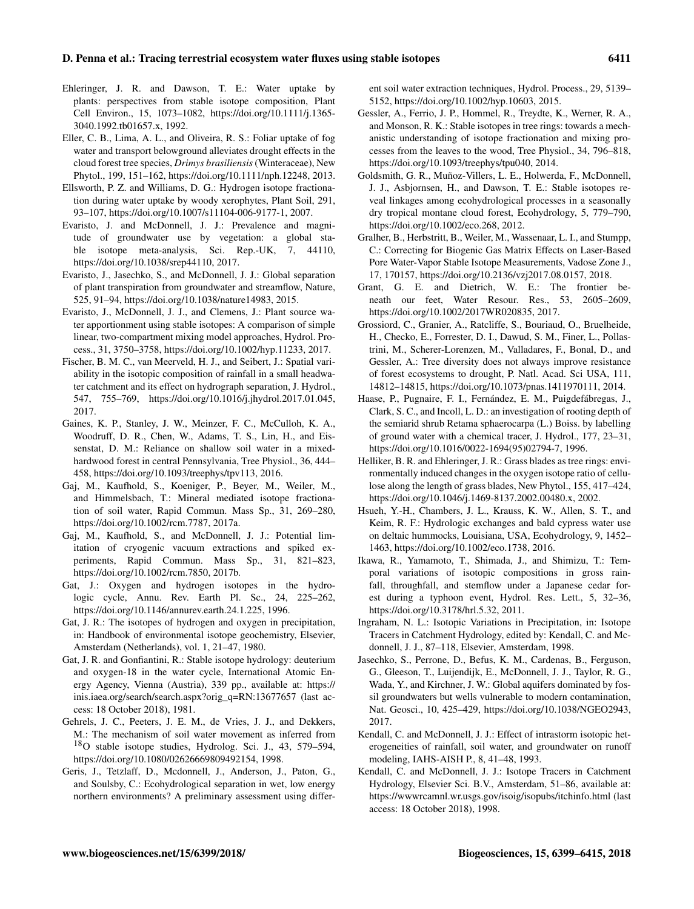- Ehleringer, J. R. and Dawson, T. E.: Water uptake by plants: perspectives from stable isotope composition, Plant Cell Environ., 15, 1073–1082, https://doi.org[/10.1111/j.1365-](https://doi.org/10.1111/j.1365-3040.1992.tb01657.x) [3040.1992.tb01657.x,](https://doi.org/10.1111/j.1365-3040.1992.tb01657.x) 1992.
- Eller, C. B., Lima, A. L., and Oliveira, R. S.: Foliar uptake of fog water and transport belowground alleviates drought effects in the cloud forest tree species, *Drimys brasiliensis*(Winteraceae), New Phytol., 199, 151–162, https://doi.org[/10.1111/nph.12248,](https://doi.org/10.1111/nph.12248) 2013.
- Ellsworth, P. Z. and Williams, D. G.: Hydrogen isotope fractionation during water uptake by woody xerophytes, Plant Soil, 291, 93–107, https://doi.org[/10.1007/s11104-006-9177-1,](https://doi.org/10.1007/s11104-006-9177-1) 2007.
- Evaristo, J. and McDonnell, J. J.: Prevalence and magnitude of groundwater use by vegetation: a global stable isotope meta-analysis, Sci. Rep.-UK, 7, 44110, https://doi.org[/10.1038/srep44110,](https://doi.org/10.1038/srep44110) 2017.
- Evaristo, J., Jasechko, S., and McDonnell, J. J.: Global separation of plant transpiration from groundwater and streamflow, Nature, 525, 91–94, https://doi.org[/10.1038/nature14983,](https://doi.org/10.1038/nature14983) 2015.
- Evaristo, J., McDonnell, J. J., and Clemens, J.: Plant source water apportionment using stable isotopes: A comparison of simple linear, two-compartment mixing model approaches, Hydrol. Process., 31, 3750–3758, https://doi.org[/10.1002/hyp.11233,](https://doi.org/10.1002/hyp.11233) 2017.
- Fischer, B. M. C., van Meerveld, H. J., and Seibert, J.: Spatial variability in the isotopic composition of rainfall in a small headwater catchment and its effect on hydrograph separation, J. Hydrol., 547, 755–769, https://doi.org[/10.1016/j.jhydrol.2017.01.045,](https://doi.org/10.1016/j.jhydrol.2017.01.045) 2017.
- Gaines, K. P., Stanley, J. W., Meinzer, F. C., McCulloh, K. A., Woodruff, D. R., Chen, W., Adams, T. S., Lin, H., and Eissenstat, D. M.: Reliance on shallow soil water in a mixedhardwood forest in central Pennsylvania, Tree Physiol., 36, 444– 458, https://doi.org[/10.1093/treephys/tpv113,](https://doi.org/10.1093/treephys/tpv113) 2016.
- Gaj, M., Kaufhold, S., Koeniger, P., Beyer, M., Weiler, M., and Himmelsbach, T.: Mineral mediated isotope fractionation of soil water, Rapid Commun. Mass Sp., 31, 269–280, https://doi.org[/10.1002/rcm.7787,](https://doi.org/10.1002/rcm.7787) 2017a.
- Gaj, M., Kaufhold, S., and McDonnell, J. J.: Potential limitation of cryogenic vacuum extractions and spiked experiments, Rapid Commun. Mass Sp., 31, 821–823, https://doi.org[/10.1002/rcm.7850,](https://doi.org/10.1002/rcm.7850) 2017b.
- Gat, J.: Oxygen and hydrogen isotopes in the hydrologic cycle, Annu. Rev. Earth Pl. Sc., 24, 225–262, https://doi.org[/10.1146/annurev.earth.24.1.225,](https://doi.org/10.1146/annurev.earth.24.1.225) 1996.
- Gat, J. R.: The isotopes of hydrogen and oxygen in precipitation, in: Handbook of environmental isotope geochemistry, Elsevier, Amsterdam (Netherlands), vol. 1, 21–47, 1980.
- Gat, J. R. and Gonfiantini, R.: Stable isotope hydrology: deuterium and oxygen-18 in the water cycle, International Atomic Energy Agency, Vienna (Austria), 339 pp., available at: [https://](https://inis.iaea.org/search/search.aspx?orig_q=RN:13677657) [inis.iaea.org/search/search.aspx?orig\\_q=RN:13677657](https://inis.iaea.org/search/search.aspx?orig_q=RN:13677657) (last access: 18 October 2018), 1981.
- Gehrels, J. C., Peeters, J. E. M., de Vries, J. J., and Dekkers, M.: The mechanism of soil water movement as inferred from <sup>18</sup>O stable isotope studies, Hydrolog. Sci. J., 43, 579–594, https://doi.org[/10.1080/02626669809492154,](https://doi.org/10.1080/02626669809492154) 1998.
- Geris, J., Tetzlaff, D., Mcdonnell, J., Anderson, J., Paton, G., and Soulsby, C.: Ecohydrological separation in wet, low energy northern environments? A preliminary assessment using differ-

ent soil water extraction techniques, Hydrol. Process., 29, 5139– 5152, https://doi.org[/10.1002/hyp.10603,](https://doi.org/10.1002/hyp.10603) 2015.

- Gessler, A., Ferrio, J. P., Hommel, R., Treydte, K., Werner, R. A., and Monson, R. K.: Stable isotopes in tree rings: towards a mechanistic understanding of isotope fractionation and mixing processes from the leaves to the wood, Tree Physiol., 34, 796–818, https://doi.org[/10.1093/treephys/tpu040,](https://doi.org/10.1093/treephys/tpu040) 2014.
- Goldsmith, G. R., Muñoz-Villers, L. E., Holwerda, F., McDonnell, J. J., Asbjornsen, H., and Dawson, T. E.: Stable isotopes reveal linkages among ecohydrological processes in a seasonally dry tropical montane cloud forest, Ecohydrology, 5, 779–790, https://doi.org[/10.1002/eco.268,](https://doi.org/10.1002/eco.268) 2012.
- Gralher, B., Herbstritt, B., Weiler, M., Wassenaar, L. I., and Stumpp, C.: Correcting for Biogenic Gas Matrix Effects on Laser-Based Pore Water-Vapor Stable Isotope Measurements, Vadose Zone J., 17, 170157, https://doi.org[/10.2136/vzj2017.08.0157,](https://doi.org/10.2136/vzj2017.08.0157) 2018.
- Grant, G. E. and Dietrich, W. E.: The frontier beneath our feet, Water Resour. Res., 53, 2605–2609, https://doi.org[/10.1002/2017WR020835,](https://doi.org/10.1002/2017WR020835) 2017.
- Grossiord, C., Granier, A., Ratcliffe, S., Bouriaud, O., Bruelheide, H., Checko, E., Forrester, D. I., Dawud, S. M., Finer, L., Pollastrini, M., Scherer-Lorenzen, M., Valladares, F., Bonal, D., and Gessler, A.: Tree diversity does not always improve resistance of forest ecosystems to drought, P. Natl. Acad. Sci USA, 111, 14812–14815, https://doi.org[/10.1073/pnas.1411970111,](https://doi.org/10.1073/pnas.1411970111) 2014.
- Haase, P., Pugnaire, F. I., Fernández, E. M., Puigdefábregas, J., Clark, S. C., and Incoll, L. D.: an investigation of rooting depth of the semiarid shrub Retama sphaerocarpa (L.) Boiss. by labelling of ground water with a chemical tracer, J. Hydrol., 177, 23–31, https://doi.org[/10.1016/0022-1694\(95\)02794-7,](https://doi.org/10.1016/0022-1694(95)02794-7) 1996.
- Helliker, B. R. and Ehleringer, J. R.: Grass blades as tree rings: environmentally induced changes in the oxygen isotope ratio of cellulose along the length of grass blades, New Phytol., 155, 417–424, https://doi.org[/10.1046/j.1469-8137.2002.00480.x,](https://doi.org/10.1046/j.1469-8137.2002.00480.x) 2002.
- Hsueh, Y.-H., Chambers, J. L., Krauss, K. W., Allen, S. T., and Keim, R. F.: Hydrologic exchanges and bald cypress water use on deltaic hummocks, Louisiana, USA, Ecohydrology, 9, 1452– 1463, https://doi.org[/10.1002/eco.1738,](https://doi.org/10.1002/eco.1738) 2016.
- Ikawa, R., Yamamoto, T., Shimada, J., and Shimizu, T.: Temporal variations of isotopic compositions in gross rainfall, throughfall, and stemflow under a Japanese cedar forest during a typhoon event, Hydrol. Res. Lett., 5, 32–36, https://doi.org[/10.3178/hrl.5.32,](https://doi.org/10.3178/hrl.5.32) 2011.
- Ingraham, N. L.: Isotopic Variations in Precipitation, in: Isotope Tracers in Catchment Hydrology, edited by: Kendall, C. and Mcdonnell, J. J., 87–118, Elsevier, Amsterdam, 1998.
- Jasechko, S., Perrone, D., Befus, K. M., Cardenas, B., Ferguson, G., Gleeson, T., Luijendijk, E., McDonnell, J. J., Taylor, R. G., Wada, Y., and Kirchner, J. W.: Global aquifers dominated by fossil groundwaters but wells vulnerable to modern contamination, Nat. Geosci., 10, 425–429, https://doi.org[/10.1038/NGEO2943,](https://doi.org/10.1038/NGEO2943) 2017.
- Kendall, C. and McDonnell, J. J.: Effect of intrastorm isotopic heterogeneities of rainfall, soil water, and groundwater on runoff modeling, IAHS-AISH P., 8, 41–48, 1993.
- Kendall, C. and McDonnell, J. J.: Isotope Tracers in Catchment Hydrology, Elsevier Sci. B.V., Amsterdam, 51–86, available at: <https://wwwrcamnl.wr.usgs.gov/isoig/isopubs/itchinfo.html> (last access: 18 October 2018), 1998.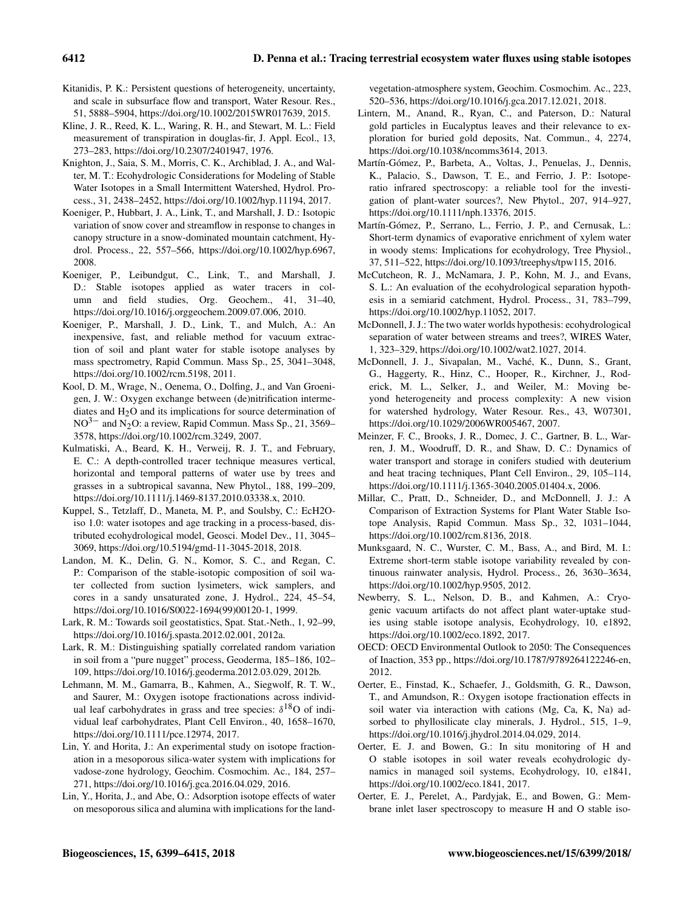- Kitanidis, P. K.: Persistent questions of heterogeneity, uncertainty, and scale in subsurface flow and transport, Water Resour. Res., 51, 5888–5904, https://doi.org[/10.1002/2015WR017639,](https://doi.org/10.1002/2015WR017639) 2015.
- Kline, J. R., Reed, K. L., Waring, R. H., and Stewart, M. L.: Field measurement of transpiration in douglas-fir, J. Appl. Ecol., 13, 273–283, https://doi.org[/10.2307/2401947,](https://doi.org/10.2307/2401947) 1976.
- Knighton, J., Saia, S. M., Morris, C. K., Archiblad, J. A., and Walter, M. T.: Ecohydrologic Considerations for Modeling of Stable Water Isotopes in a Small Intermittent Watershed, Hydrol. Process., 31, 2438–2452, https://doi.org[/10.1002/hyp.11194,](https://doi.org/10.1002/hyp.11194) 2017.
- Koeniger, P., Hubbart, J. A., Link, T., and Marshall, J. D.: Isotopic variation of snow cover and streamflow in response to changes in canopy structure in a snow-dominated mountain catchment, Hydrol. Process., 22, 557–566, https://doi.org[/10.1002/hyp.6967,](https://doi.org/10.1002/hyp.6967) 2008.
- Koeniger, P., Leibundgut, C., Link, T., and Marshall, J. D.: Stable isotopes applied as water tracers in column and field studies, Org. Geochem., 41, 31–40, https://doi.org[/10.1016/j.orggeochem.2009.07.006,](https://doi.org/10.1016/j.orggeochem.2009.07.006) 2010.
- Koeniger, P., Marshall, J. D., Link, T., and Mulch, A.: An inexpensive, fast, and reliable method for vacuum extraction of soil and plant water for stable isotope analyses by mass spectrometry, Rapid Commun. Mass Sp., 25, 3041–3048, https://doi.org[/10.1002/rcm.5198,](https://doi.org/10.1002/rcm.5198) 2011.
- Kool, D. M., Wrage, N., Oenema, O., Dolfing, J., and Van Groenigen, J. W.: Oxygen exchange between (de)nitrification intermediates and H2O and its implications for source determination of NO<sup>3−</sup> and N<sub>2</sub>O: a review, Rapid Commun. Mass Sp., 21, 3569– 3578, https://doi.org[/10.1002/rcm.3249,](https://doi.org/10.1002/rcm.3249) 2007.
- Kulmatiski, A., Beard, K. H., Verweij, R. J. T., and February, E. C.: A depth-controlled tracer technique measures vertical, horizontal and temporal patterns of water use by trees and grasses in a subtropical savanna, New Phytol., 188, 199–209, https://doi.org[/10.1111/j.1469-8137.2010.03338.x,](https://doi.org/10.1111/j.1469-8137.2010.03338.x) 2010.
- Kuppel, S., Tetzlaff, D., Maneta, M. P., and Soulsby, C.: EcH2Oiso 1.0: water isotopes and age tracking in a process-based, distributed ecohydrological model, Geosci. Model Dev., 11, 3045– 3069, https://doi.org[/10.5194/gmd-11-3045-2018,](https://doi.org/10.5194/gmd-11-3045-2018) 2018.
- Landon, M. K., Delin, G. N., Komor, S. C., and Regan, C. P.: Comparison of the stable-isotopic composition of soil water collected from suction lysimeters, wick samplers, and cores in a sandy unsaturated zone, J. Hydrol., 224, 45–54, https://doi.org[/10.1016/S0022-1694\(99\)00120-1,](https://doi.org/10.1016/S0022-1694(99)00120-1) 1999.
- Lark, R. M.: Towards soil geostatistics, Spat. Stat.-Neth., 1, 92–99, https://doi.org[/10.1016/j.spasta.2012.02.001,](https://doi.org/10.1016/j.spasta.2012.02.001) 2012a.
- Lark, R. M.: Distinguishing spatially correlated random variation in soil from a "pure nugget" process, Geoderma, 185–186, 102– 109, https://doi.org[/10.1016/j.geoderma.2012.03.029,](https://doi.org/10.1016/j.geoderma.2012.03.029) 2012b.
- Lehmann, M. M., Gamarra, B., Kahmen, A., Siegwolf, R. T. W., and Saurer, M.: Oxygen isotope fractionations across individual leaf carbohydrates in grass and tree species:  $\delta^{18}$ O of individual leaf carbohydrates, Plant Cell Environ., 40, 1658–1670, https://doi.org[/10.1111/pce.12974,](https://doi.org/10.1111/pce.12974) 2017.
- Lin, Y. and Horita, J.: An experimental study on isotope fractionation in a mesoporous silica-water system with implications for vadose-zone hydrology, Geochim. Cosmochim. Ac., 184, 257– 271, https://doi.org[/10.1016/j.gca.2016.04.029,](https://doi.org/10.1016/j.gca.2016.04.029) 2016.
- Lin, Y., Horita, J., and Abe, O.: Adsorption isotope effects of water on mesoporous silica and alumina with implications for the land-

vegetation-atmosphere system, Geochim. Cosmochim. Ac., 223, 520–536, https://doi.org[/10.1016/j.gca.2017.12.021,](https://doi.org/10.1016/j.gca.2017.12.021) 2018.

- Lintern, M., Anand, R., Ryan, C., and Paterson, D.: Natural gold particles in Eucalyptus leaves and their relevance to exploration for buried gold deposits, Nat. Commun., 4, 2274, https://doi.org[/10.1038/ncomms3614,](https://doi.org/10.1038/ncomms3614) 2013.
- Martín-Gómez, P., Barbeta, A., Voltas, J., Penuelas, J., Dennis, K., Palacio, S., Dawson, T. E., and Ferrio, J. P.: Isotoperatio infrared spectroscopy: a reliable tool for the investigation of plant-water sources?, New Phytol., 207, 914–927, https://doi.org[/10.1111/nph.13376,](https://doi.org/10.1111/nph.13376) 2015.
- Martín-Gómez, P., Serrano, L., Ferrio, J. P., and Cernusak, L.: Short-term dynamics of evaporative enrichment of xylem water in woody stems: Implications for ecohydrology, Tree Physiol., 37, 511–522, https://doi.org[/10.1093/treephys/tpw115,](https://doi.org/10.1093/treephys/tpw115) 2016.
- McCutcheon, R. J., McNamara, J. P., Kohn, M. J., and Evans, S. L.: An evaluation of the ecohydrological separation hypothesis in a semiarid catchment, Hydrol. Process., 31, 783–799, https://doi.org[/10.1002/hyp.11052,](https://doi.org/10.1002/hyp.11052) 2017.
- McDonnell, J. J.: The two water worlds hypothesis: ecohydrological separation of water between streams and trees?, WIRES Water, 1, 323–329, https://doi.org[/10.1002/wat2.1027,](https://doi.org/10.1002/wat2.1027) 2014.
- McDonnell, J. J., Sivapalan, M., Vaché, K., Dunn, S., Grant, G., Haggerty, R., Hinz, C., Hooper, R., Kirchner, J., Roderick, M. L., Selker, J., and Weiler, M.: Moving beyond heterogeneity and process complexity: A new vision for watershed hydrology, Water Resour. Res., 43, W07301, https://doi.org[/10.1029/2006WR005467,](https://doi.org/10.1029/2006WR005467) 2007.
- Meinzer, F. C., Brooks, J. R., Domec, J. C., Gartner, B. L., Warren, J. M., Woodruff, D. R., and Shaw, D. C.: Dynamics of water transport and storage in conifers studied with deuterium and heat tracing techniques, Plant Cell Environ., 29, 105–114, https://doi.org[/10.1111/j.1365-3040.2005.01404.x,](https://doi.org/10.1111/j.1365-3040.2005.01404.x) 2006.
- Millar, C., Pratt, D., Schneider, D., and McDonnell, J. J.: A Comparison of Extraction Systems for Plant Water Stable Isotope Analysis, Rapid Commun. Mass Sp., 32, 1031–1044, https://doi.org[/10.1002/rcm.8136,](https://doi.org/10.1002/rcm.8136) 2018.
- Munksgaard, N. C., Wurster, C. M., Bass, A., and Bird, M. I.: Extreme short-term stable isotope variability revealed by continuous rainwater analysis, Hydrol. Process., 26, 3630–3634, https://doi.org[/10.1002/hyp.9505,](https://doi.org/10.1002/hyp.9505) 2012.
- Newberry, S. L., Nelson, D. B., and Kahmen, A.: Cryogenic vacuum artifacts do not affect plant water-uptake studies using stable isotope analysis, Ecohydrology, 10, e1892, https://doi.org[/10.1002/eco.1892,](https://doi.org/10.1002/eco.1892) 2017.
- OECD: OECD Environmental Outlook to 2050: The Consequences of Inaction, 353 pp., https://doi.org[/10.1787/9789264122246-en,](https://doi.org/10.1787/9789264122246-en) 2012.
- Oerter, E., Finstad, K., Schaefer, J., Goldsmith, G. R., Dawson, T., and Amundson, R.: Oxygen isotope fractionation effects in soil water via interaction with cations (Mg, Ca, K, Na) adsorbed to phyllosilicate clay minerals, J. Hydrol., 515, 1–9, https://doi.org[/10.1016/j.jhydrol.2014.04.029,](https://doi.org/10.1016/j.jhydrol.2014.04.029) 2014.
- Oerter, E. J. and Bowen, G.: In situ monitoring of H and O stable isotopes in soil water reveals ecohydrologic dynamics in managed soil systems, Ecohydrology, 10, e1841, https://doi.org[/10.1002/eco.1841,](https://doi.org/10.1002/eco.1841) 2017.
- Oerter, E. J., Perelet, A., Pardyjak, E., and Bowen, G.: Membrane inlet laser spectroscopy to measure H and O stable iso-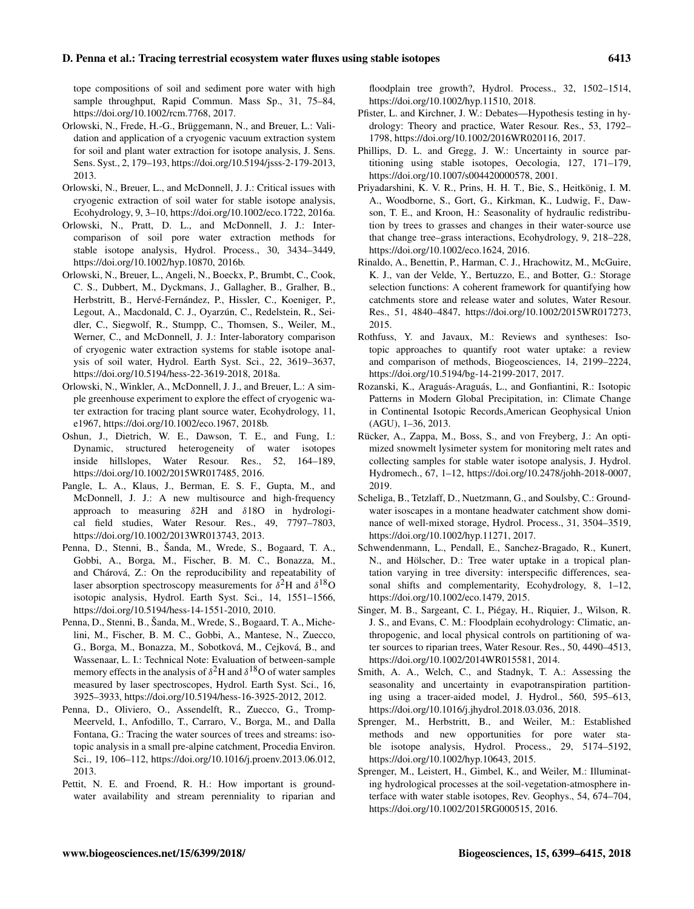tope compositions of soil and sediment pore water with high sample throughput, Rapid Commun. Mass Sp., 31, 75–84, https://doi.org[/10.1002/rcm.7768,](https://doi.org/10.1002/rcm.7768) 2017.

- Orlowski, N., Frede, H.-G., Brüggemann, N., and Breuer, L.: Validation and application of a cryogenic vacuum extraction system for soil and plant water extraction for isotope analysis, J. Sens. Sens. Syst., 2, 179–193, https://doi.org[/10.5194/jsss-2-179-2013,](https://doi.org/10.5194/jsss-2-179-2013) 2013.
- Orlowski, N., Breuer, L., and McDonnell, J. J.: Critical issues with cryogenic extraction of soil water for stable isotope analysis, Ecohydrology, 9, 3–10, https://doi.org[/10.1002/eco.1722,](https://doi.org/10.1002/eco.1722) 2016a.
- Orlowski, N., Pratt, D. L., and McDonnell, J. J.: Intercomparison of soil pore water extraction methods for stable isotope analysis, Hydrol. Process., 30, 3434–3449, https://doi.org[/10.1002/hyp.10870,](https://doi.org/10.1002/hyp.10870) 2016b.
- Orlowski, N., Breuer, L., Angeli, N., Boeckx, P., Brumbt, C., Cook, C. S., Dubbert, M., Dyckmans, J., Gallagher, B., Gralher, B., Herbstritt, B., Hervé-Fernández, P., Hissler, C., Koeniger, P., Legout, A., Macdonald, C. J., Oyarzún, C., Redelstein, R., Seidler, C., Siegwolf, R., Stumpp, C., Thomsen, S., Weiler, M., Werner, C., and McDonnell, J. J.: Inter-laboratory comparison of cryogenic water extraction systems for stable isotope analysis of soil water, Hydrol. Earth Syst. Sci., 22, 3619–3637, https://doi.org[/10.5194/hess-22-3619-2018,](https://doi.org/10.5194/hess-22-3619-2018) 2018a.
- Orlowski, N., Winkler, A., McDonnell, J. J., and Breuer, L.: A simple greenhouse experiment to explore the effect of cryogenic water extraction for tracing plant source water, Ecohydrology, 11, e1967, https://doi.org[/10.1002/eco.1967,](https://doi.org/10.1002/eco.1967) 2018b.
- Oshun, J., Dietrich, W. E., Dawson, T. E., and Fung, I.: Dynamic, structured heterogeneity of water isotopes inside hillslopes, Water Resour. Res., 52, 164-189, https://doi.org[/10.1002/2015WR017485,](https://doi.org/10.1002/2015WR017485) 2016.
- Pangle, L. A., Klaus, J., Berman, E. S. F., Gupta, M., and McDonnell, J. J.: A new multisource and high-frequency approach to measuring δ2H and δ18O in hydrological field studies, Water Resour. Res., 49, 7797–7803, https://doi.org[/10.1002/2013WR013743,](https://doi.org/10.1002/2013WR013743) 2013.
- Penna, D., Stenni, B., Šanda, M., Wrede, S., Bogaard, T. A., Gobbi, A., Borga, M., Fischer, B. M. C., Bonazza, M., and Chárová, Z.: On the reproducibility and repeatability of laser absorption spectroscopy measurements for  $\delta^2$ H and  $\delta^{18}$ O isotopic analysis, Hydrol. Earth Syst. Sci., 14, 1551–1566, https://doi.org[/10.5194/hess-14-1551-2010,](https://doi.org/10.5194/hess-14-1551-2010) 2010.
- Penna, D., Stenni, B., Šanda, M., Wrede, S., Bogaard, T. A., Michelini, M., Fischer, B. M. C., Gobbi, A., Mantese, N., Zuecco, G., Borga, M., Bonazza, M., Sobotková, M., Cejková, B., and Wassenaar, L. I.: Technical Note: Evaluation of between-sample memory effects in the analysis of  $\delta^2$ H and  $\delta^{18}$ O of water samples measured by laser spectroscopes, Hydrol. Earth Syst. Sci., 16, 3925–3933, https://doi.org[/10.5194/hess-16-3925-2012,](https://doi.org/10.5194/hess-16-3925-2012) 2012.
- Penna, D., Oliviero, O., Assendelft, R., Zuecco, G., Tromp-Meerveld, I., Anfodillo, T., Carraro, V., Borga, M., and Dalla Fontana, G.: Tracing the water sources of trees and streams: isotopic analysis in a small pre-alpine catchment, Procedia Environ. Sci., 19, 106–112, https://doi.org[/10.1016/j.proenv.2013.06.012,](https://doi.org/10.1016/j.proenv.2013.06.012) 2013.
- Pettit, N. E. and Froend, R. H.: How important is groundwater availability and stream perenniality to riparian and

floodplain tree growth?, Hydrol. Process., 32, 1502-1514, https://doi.org[/10.1002/hyp.11510,](https://doi.org/10.1002/hyp.11510) 2018.

- Pfister, L. and Kirchner, J. W.: Debates—Hypothesis testing in hydrology: Theory and practice, Water Resour. Res., 53, 1792– 1798, https://doi.org[/10.1002/2016WR020116,](https://doi.org/10.1002/2016WR020116) 2017.
- Phillips, D. L. and Gregg, J. W.: Uncertainty in source partitioning using stable isotopes, Oecologia, 127, 171–179, https://doi.org[/10.1007/s004420000578,](https://doi.org/10.1007/s004420000578) 2001.
- Priyadarshini, K. V. R., Prins, H. H. T., Bie, S., Heitkönig, I. M. A., Woodborne, S., Gort, G., Kirkman, K., Ludwig, F., Dawson, T. E., and Kroon, H.: Seasonality of hydraulic redistribution by trees to grasses and changes in their water-source use that change tree–grass interactions, Ecohydrology, 9, 218–228, https://doi.org[/10.1002/eco.1624,](https://doi.org/10.1002/eco.1624) 2016.
- Rinaldo, A., Benettin, P., Harman, C. J., Hrachowitz, M., McGuire, K. J., van der Velde, Y., Bertuzzo, E., and Botter, G.: Storage selection functions: A coherent framework for quantifying how catchments store and release water and solutes, Water Resour. Res., 51, 4840–4847, https://doi.org[/10.1002/2015WR017273,](https://doi.org/10.1002/2015WR017273) 2015.
- Rothfuss, Y. and Javaux, M.: Reviews and syntheses: Isotopic approaches to quantify root water uptake: a review and comparison of methods, Biogeosciences, 14, 2199–2224, https://doi.org[/10.5194/bg-14-2199-2017,](https://doi.org/10.5194/bg-14-2199-2017) 2017.
- Rozanski, K., Araguás-Araguás, L., and Gonfiantini, R.: Isotopic Patterns in Modern Global Precipitation, in: Climate Change in Continental Isotopic Records,American Geophysical Union (AGU), 1–36, 2013.
- Rücker, A., Zappa, M., Boss, S., and von Freyberg, J.: An optimized snowmelt lysimeter system for monitoring melt rates and collecting samples for stable water isotope analysis, J. Hydrol. Hydromech., 67, 1–12, https://doi.org[/10.2478/johh-2018-0007,](https://doi.org/10.2478/johh-2018-0007) 2019.
- Scheliga, B., Tetzlaff, D., Nuetzmann, G., and Soulsby, C.: Groundwater isoscapes in a montane headwater catchment show dominance of well-mixed storage, Hydrol. Process., 31, 3504–3519, https://doi.org[/10.1002/hyp.11271,](https://doi.org/10.1002/hyp.11271) 2017.
- Schwendenmann, L., Pendall, E., Sanchez-Bragado, R., Kunert, N., and Hölscher, D.: Tree water uptake in a tropical plantation varying in tree diversity: interspecific differences, seasonal shifts and complementarity, Ecohydrology, 8, 1–12, https://doi.org[/10.1002/eco.1479,](https://doi.org/10.1002/eco.1479) 2015.
- Singer, M. B., Sargeant, C. I., Piégay, H., Riquier, J., Wilson, R. J. S., and Evans, C. M.: Floodplain ecohydrology: Climatic, anthropogenic, and local physical controls on partitioning of water sources to riparian trees, Water Resour. Res., 50, 4490–4513, https://doi.org[/10.1002/2014WR015581,](https://doi.org/10.1002/2014WR015581) 2014.
- Smith, A. A., Welch, C., and Stadnyk, T. A.: Assessing the seasonality and uncertainty in evapotranspiration partitioning using a tracer-aided model, J. Hydrol., 560, 595–613, https://doi.org[/10.1016/j.jhydrol.2018.03.036,](https://doi.org/10.1016/j.jhydrol.2018.03.036) 2018.
- Sprenger, M., Herbstritt, B., and Weiler, M.: Established methods and new opportunities for pore water stable isotope analysis, Hydrol. Process., 29, 5174–5192, https://doi.org[/10.1002/hyp.10643,](https://doi.org/10.1002/hyp.10643) 2015.
- Sprenger, M., Leistert, H., Gimbel, K., and Weiler, M.: Illuminating hydrological processes at the soil-vegetation-atmosphere interface with water stable isotopes, Rev. Geophys., 54, 674–704, https://doi.org[/10.1002/2015RG000515,](https://doi.org/10.1002/2015RG000515) 2016.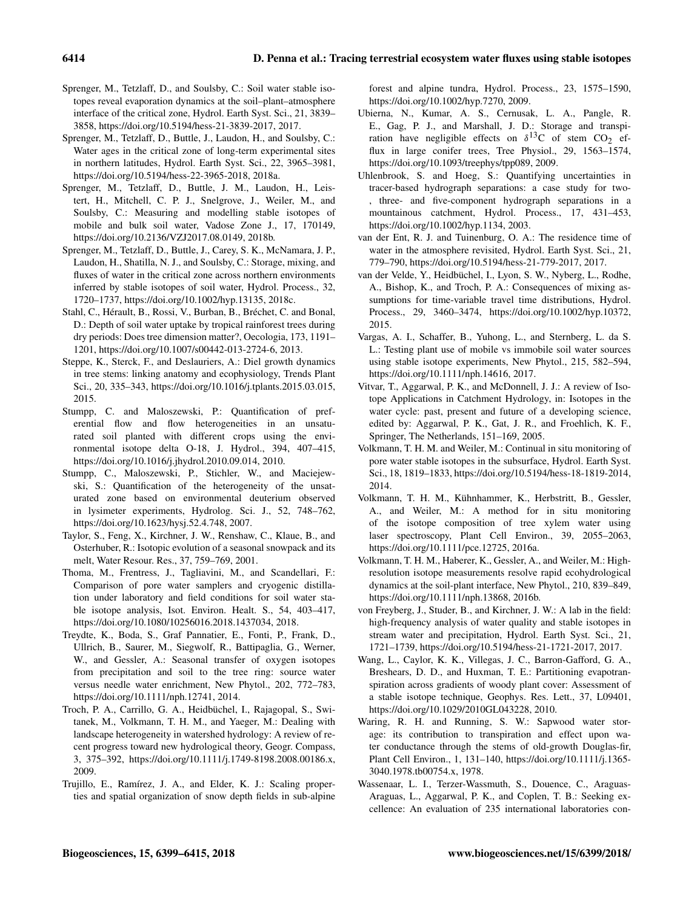- Sprenger, M., Tetzlaff, D., and Soulsby, C.: Soil water stable isotopes reveal evaporation dynamics at the soil–plant–atmosphere interface of the critical zone, Hydrol. Earth Syst. Sci., 21, 3839– 3858, https://doi.org[/10.5194/hess-21-3839-2017,](https://doi.org/10.5194/hess-21-3839-2017) 2017.
- Sprenger, M., Tetzlaff, D., Buttle, J., Laudon, H., and Soulsby, C.: Water ages in the critical zone of long-term experimental sites in northern latitudes, Hydrol. Earth Syst. Sci., 22, 3965–3981, https://doi.org[/10.5194/hess-22-3965-2018,](https://doi.org/10.5194/hess-22-3965-2018) 2018a.
- Sprenger, M., Tetzlaff, D., Buttle, J. M., Laudon, H., Leistert, H., Mitchell, C. P. J., Snelgrove, J., Weiler, M., and Soulsby, C.: Measuring and modelling stable isotopes of mobile and bulk soil water, Vadose Zone J., 17, 170149, https://doi.org[/10.2136/VZJ2017.08.0149,](https://doi.org/10.2136/VZJ2017.08.0149) 2018b.
- Sprenger, M., Tetzlaff, D., Buttle, J., Carey, S. K., McNamara, J. P., Laudon, H., Shatilla, N. J., and Soulsby, C.: Storage, mixing, and fluxes of water in the critical zone across northern environments inferred by stable isotopes of soil water, Hydrol. Process., 32, 1720–1737, https://doi.org[/10.1002/hyp.13135,](https://doi.org/10.1002/hyp.13135) 2018c.
- Stahl, C., Hérault, B., Rossi, V., Burban, B., Bréchet, C. and Bonal, D.: Depth of soil water uptake by tropical rainforest trees during dry periods: Does tree dimension matter?, Oecologia, 173, 1191– 1201, https://doi.org[/10.1007/s00442-013-2724-6,](https://doi.org/10.1007/s00442-013-2724-6) 2013.
- Steppe, K., Sterck, F., and Deslauriers, A.: Diel growth dynamics in tree stems: linking anatomy and ecophysiology, Trends Plant Sci., 20, 335–343, https://doi.org[/10.1016/j.tplants.2015.03.015,](https://doi.org/10.1016/j.tplants.2015.03.015) 2015.
- Stumpp, C. and Maloszewski, P.: Quantification of preferential flow and flow heterogeneities in an unsaturated soil planted with different crops using the environmental isotope delta O-18, J. Hydrol., 394, 407–415, https://doi.org[/10.1016/j.jhydrol.2010.09.014,](https://doi.org/10.1016/j.jhydrol.2010.09.014) 2010.
- Stumpp, C., Maloszewski, P., Stichler, W., and Maciejewski, S.: Quantification of the heterogeneity of the unsaturated zone based on environmental deuterium observed in lysimeter experiments, Hydrolog. Sci. J., 52, 748–762, https://doi.org[/10.1623/hysj.52.4.748,](https://doi.org/10.1623/hysj.52.4.748) 2007.
- Taylor, S., Feng, X., Kirchner, J. W., Renshaw, C., Klaue, B., and Osterhuber, R.: Isotopic evolution of a seasonal snowpack and its melt, Water Resour. Res., 37, 759–769, 2001.
- Thoma, M., Frentress, J., Tagliavini, M., and Scandellari, F.: Comparison of pore water samplers and cryogenic distillation under laboratory and field conditions for soil water stable isotope analysis, Isot. Environ. Healt. S., 54, 403–417, https://doi.org[/10.1080/10256016.2018.1437034,](https://doi.org/10.1080/10256016.2018.1437034) 2018.
- Treydte, K., Boda, S., Graf Pannatier, E., Fonti, P., Frank, D., Ullrich, B., Saurer, M., Siegwolf, R., Battipaglia, G., Werner, W., and Gessler, A.: Seasonal transfer of oxygen isotopes from precipitation and soil to the tree ring: source water versus needle water enrichment, New Phytol., 202, 772–783, https://doi.org[/10.1111/nph.12741,](https://doi.org/10.1111/nph.12741) 2014.
- Troch, P. A., Carrillo, G. A., Heidbüchel, I., Rajagopal, S., Switanek, M., Volkmann, T. H. M., and Yaeger, M.: Dealing with landscape heterogeneity in watershed hydrology: A review of recent progress toward new hydrological theory, Geogr. Compass, 3, 375–392, https://doi.org[/10.1111/j.1749-8198.2008.00186.x,](https://doi.org/10.1111/j.1749-8198.2008.00186.x) 2009.
- Trujillo, E., Ramírez, J. A., and Elder, K. J.: Scaling properties and spatial organization of snow depth fields in sub-alpine

forest and alpine tundra, Hydrol. Process., 23, 1575–1590, https://doi.org[/10.1002/hyp.7270,](https://doi.org/10.1002/hyp.7270) 2009.

- Ubierna, N., Kumar, A. S., Cernusak, L. A., Pangle, R. E., Gag, P. J., and Marshall, J. D.: Storage and transpiration have negligible effects on  $\delta^{13}$ C of stem CO<sub>2</sub> efflux in large conifer trees, Tree Physiol., 29, 1563–1574, https://doi.org[/10.1093/treephys/tpp089,](https://doi.org/10.1093/treephys/tpp089) 2009.
- Uhlenbrook, S. and Hoeg, S.: Quantifying uncertainties in tracer-based hydrograph separations: a case study for two- , three- and five-component hydrograph separations in a mountainous catchment, Hydrol. Process., 17, 431–453, https://doi.org[/10.1002/hyp.1134,](https://doi.org/10.1002/hyp.1134) 2003.
- van der Ent, R. J. and Tuinenburg, O. A.: The residence time of water in the atmosphere revisited, Hydrol. Earth Syst. Sci., 21, 779–790, https://doi.org[/10.5194/hess-21-779-2017,](https://doi.org/10.5194/hess-21-779-2017) 2017.
- van der Velde, Y., Heidbüchel, I., Lyon, S. W., Nyberg, L., Rodhe, A., Bishop, K., and Troch, P. A.: Consequences of mixing assumptions for time-variable travel time distributions, Hydrol. Process., 29, 3460–3474, https://doi.org[/10.1002/hyp.10372,](https://doi.org/10.1002/hyp.10372) 2015.
- Vargas, A. I., Schaffer, B., Yuhong, L., and Sternberg, L. da S. L.: Testing plant use of mobile vs immobile soil water sources using stable isotope experiments, New Phytol., 215, 582–594, https://doi.org[/10.1111/nph.14616,](https://doi.org/10.1111/nph.14616) 2017.
- Vitvar, T., Aggarwal, P. K., and McDonnell, J. J.: A review of Isotope Applications in Catchment Hydrology, in: Isotopes in the water cycle: past, present and future of a developing science, edited by: Aggarwal, P. K., Gat, J. R., and Froehlich, K. F., Springer, The Netherlands, 151–169, 2005.
- Volkmann, T. H. M. and Weiler, M.: Continual in situ monitoring of pore water stable isotopes in the subsurface, Hydrol. Earth Syst. Sci., 18, 1819–1833, https://doi.org[/10.5194/hess-18-1819-2014,](https://doi.org/10.5194/hess-18-1819-2014) 2014.
- Volkmann, T. H. M., Kühnhammer, K., Herbstritt, B., Gessler, A., and Weiler, M.: A method for in situ monitoring of the isotope composition of tree xylem water using laser spectroscopy, Plant Cell Environ., 39, 2055–2063, https://doi.org[/10.1111/pce.12725,](https://doi.org/10.1111/pce.12725) 2016a.
- Volkmann, T. H. M., Haberer, K., Gessler, A., and Weiler, M.: Highresolution isotope measurements resolve rapid ecohydrological dynamics at the soil-plant interface, New Phytol., 210, 839–849, https://doi.org[/10.1111/nph.13868,](https://doi.org/10.1111/nph.13868) 2016b.
- von Freyberg, J., Studer, B., and Kirchner, J. W.: A lab in the field: high-frequency analysis of water quality and stable isotopes in stream water and precipitation, Hydrol. Earth Syst. Sci., 21, 1721–1739, https://doi.org[/10.5194/hess-21-1721-2017,](https://doi.org/10.5194/hess-21-1721-2017) 2017.
- Wang, L., Caylor, K. K., Villegas, J. C., Barron-Gafford, G. A., Breshears, D. D., and Huxman, T. E.: Partitioning evapotranspiration across gradients of woody plant cover: Assessment of a stable isotope technique, Geophys. Res. Lett., 37, L09401, https://doi.org[/10.1029/2010GL043228,](https://doi.org/10.1029/2010GL043228) 2010.
- Waring, R. H. and Running, S. W.: Sapwood water storage: its contribution to transpiration and effect upon water conductance through the stems of old-growth Douglas-fir, Plant Cell Environ., 1, 131–140, https://doi.org[/10.1111/j.1365-](https://doi.org/10.1111/j.1365-3040.1978.tb00754.x) [3040.1978.tb00754.x,](https://doi.org/10.1111/j.1365-3040.1978.tb00754.x) 1978.
- Wassenaar, L. I., Terzer-Wassmuth, S., Douence, C., Araguas-Araguas, L., Aggarwal, P. K., and Coplen, T. B.: Seeking excellence: An evaluation of 235 international laboratories con-